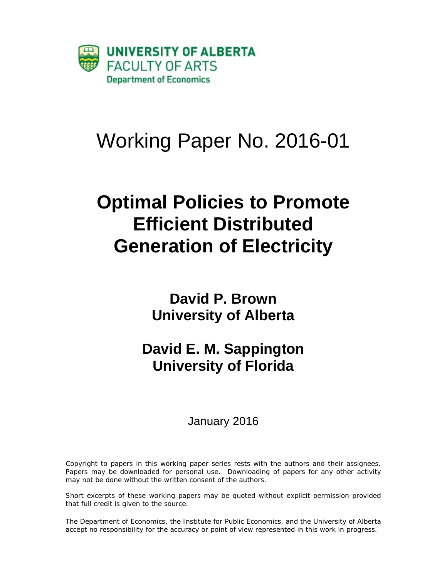

# Working Paper No. 2016-01

# **Optimal Policies to Promote Efficient Distributed Generation of Electricity**

**David P. Brown University of Alberta** 

# **David E. M. Sappington University of Florida**

January 2016

Copyright to papers in this working paper series rests with the authors and their assignees. Papers may be downloaded for personal use. Downloading of papers for any other activity may not be done without the written consent of the authors.

Short excerpts of these working papers may be quoted without explicit permission provided that full credit is given to the source.

The Department of Economics, the Institute for Public Economics, and the University of Alberta accept no responsibility for the accuracy or point of view represented in this work in progress.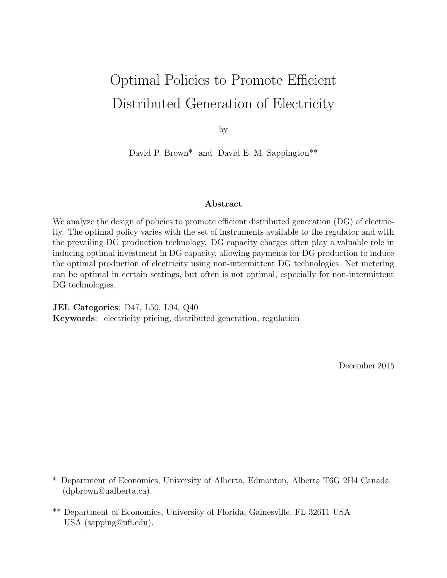# Optimal Policies to Promote Efficient Distributed Generation of Electricity

by

David P. Brown<sup>\*</sup> and David E. M. Sappington<sup>\*\*</sup>

#### Abstract

We analyze the design of policies to promote efficient distributed generation (DG) of electricity. The optimal policy varies with the set of instruments available to the regulator and with the prevailing DG production technology. DG capacity charges often play a valuable role in inducing optimal investment in DG capacity, allowing payments for DG production to induce the optimal production of electricity using non-intermittent DG technologies. Net metering can be optimal in certain settings, but often is not optimal, especially for non-intermittent DG technologies.

JEL Categories: D47, L50, L94, Q40 Keywords: electricity pricing, distributed generation, regulation

December 2015

\* Department of Economics, University of Alberta, Edmonton, Alberta T6G 2H4 Canada (dpbrown@ualberta.ca).

\*\* Department of Economics, University of Florida, Gainesville, FL 32611 USA USA (sapping@ufl.edu).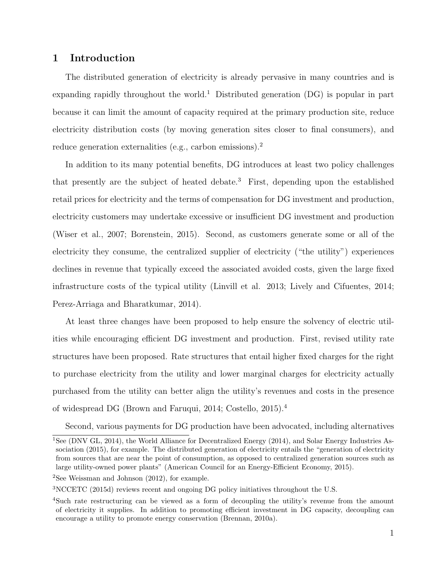# 1 Introduction

The distributed generation of electricity is already pervasive in many countries and is expanding rapidly throughout the world.<sup>1</sup> Distributed generation  $(DG)$  is popular in part because it can limit the amount of capacity required at the primary production site, reduce electricity distribution costs (by moving generation sites closer to final consumers), and reduce generation externalities (e.g., carbon emissions).<sup>2</sup>

In addition to its many potential benefits, DG introduces at least two policy challenges that presently are the subject of heated debate.<sup>3</sup> First, depending upon the established retail prices for electricity and the terms of compensation for DG investment and production, electricity customers may undertake excessive or insufficient DG investment and production (Wiser et al., 2007; Borenstein, 2015). Second, as customers generate some or all of the electricity they consume, the centralized supplier of electricity ("the utility") experiences declines in revenue that typically exceed the associated avoided costs, given the large fixed infrastructure costs of the typical utility (Linvill et al. 2013; Lively and Cifuentes, 2014; Perez-Arriaga and Bharatkumar, 2014).

At least three changes have been proposed to help ensure the solvency of electric utilities while encouraging efficient DG investment and production. First, revised utility rate structures have been proposed. Rate structures that entail higher fixed charges for the right to purchase electricity from the utility and lower marginal charges for electricity actually purchased from the utility can better align the utility's revenues and costs in the presence of widespread DG (Brown and Faruqui, 2014; Costello, 2015).<sup>4</sup>

Second, various payments for DG production have been advocated, including alternatives

<sup>&</sup>lt;sup>1</sup>See (DNV GL, 2014), the World Alliance for Decentralized Energy (2014), and Solar Energy Industries Association (2015), for example. The distributed generation of electricity entails the "generation of electricity from sources that are near the point of consumption, as opposed to centralized generation sources such as large utility-owned power plants" (American Council for an Energy-Efficient Economy, 2015).

<sup>2</sup>See Weissman and Johnson (2012), for example.

<sup>&</sup>lt;sup>3</sup>NCCETC (2015d) reviews recent and ongoing DG policy initiatives throughout the U.S.

<sup>4</sup>Such rate restructuring can be viewed as a form of decoupling the utility's revenue from the amount of electricity it supplies. In addition to promoting efficient investment in DG capacity, decoupling can encourage a utility to promote energy conservation (Brennan, 2010a).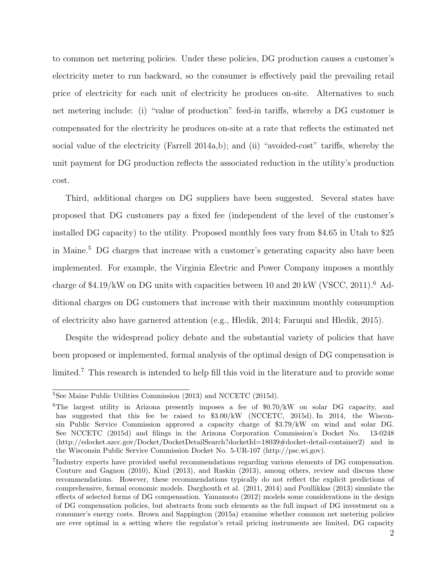to common net metering policies. Under these policies, DG production causes a customer's electricity meter to run backward, so the consumer is effectively paid the prevailing retail price of electricity for each unit of electricity he produces on-site. Alternatives to such net metering include: (i) "value of production" feed-in tariffs, whereby a DG customer is compensated for the electricity he produces on-site at a rate that reflects the estimated net social value of the electricity (Farrell 2014a,b); and (ii) "avoided-cost" tariffs, whereby the unit payment for DG production reflects the associated reduction in the utility's production cost.

Third, additional charges on DG suppliers have been suggested. Several states have proposed that DG customers pay a fixed fee (independent of the level of the customer's installed DG capacity) to the utility. Proposed monthly fees vary from \$4.65 in Utah to \$25 in Maine.<sup>5</sup> DG charges that increase with a customer's generating capacity also have been implemented. For example, the Virginia Electric and Power Company imposes a monthly charge of  $4.19$ /kW on DG units with capacities between 10 and 20 kW (VSCC, 2011).<sup>6</sup> Additional charges on DG customers that increase with their maximum monthly consumption of electricity also have garnered attention (e.g., Hledik, 2014; Faruqui and Hledik, 2015).

Despite the widespread policy debate and the substantial variety of policies that have been proposed or implemented, formal analysis of the optimal design of DG compensation is limited.<sup>7</sup> This research is intended to help fill this void in the literature and to provide some

<sup>5</sup>See Maine Public Utilities Commission (2013) and NCCETC (2015d).

<sup>&</sup>lt;sup>6</sup>The largest utility in Arizona presently imposes a fee of  $$0.70/kW$  on solar DG capacity, and has suggested that this fee be raised to  $$3.00/kW$  (NCCETC, 2015d). In 2014, the Wisconsin Public Service Commission approved a capacity charge of \$3.79/kW on wind and solar DG. See NCCETC (2015d) and filings in the Arizona Corporation Commission's Docket No. 13-0248 (http://edocket.azcc.gov/Docket/DocketDetailSearch?docketId=18039#docket-detail-container2) and in the Wisconsin Public Service Commission Docket No. 5-UR-107 (http://psc.wi.gov).

<sup>&</sup>lt;sup>7</sup>Industry experts have provided useful recommendations regarding various elements of DG compensation. Couture and Gagnon (2010), Kind (2013), and Raskin (2013), among others, review and discuss these recommendations. However, these recommendations typically do not reflect the explicit predictions of comprehensive, formal economic models. Darghouth et al. (2011, 2014) and Poullikkas (2013) simulate the effects of selected forms of DG compensation. Yamamoto (2012) models some considerations in the design of DG compensation policies, but abstracts from such elements as the full impact of DG investment on a consumer's energy costs. Brown and Sappington (2015a) examine whether common net metering policies are ever optimal in a setting where the regulator's retail pricing instruments are limited, DG capacity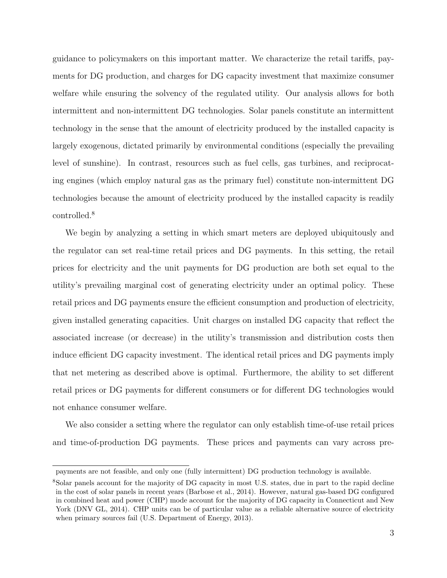guidance to policymakers on this important matter. We characterize the retail tariffs, payments for DG production, and charges for DG capacity investment that maximize consumer welfare while ensuring the solvency of the regulated utility. Our analysis allows for both intermittent and non-intermittent DG technologies. Solar panels constitute an intermittent technology in the sense that the amount of electricity produced by the installed capacity is largely exogenous, dictated primarily by environmental conditions (especially the prevailing level of sunshine). In contrast, resources such as fuel cells, gas turbines, and reciprocating engines (which employ natural gas as the primary fuel) constitute non-intermittent DG technologies because the amount of electricity produced by the installed capacity is readily controlled.<sup>8</sup>

We begin by analyzing a setting in which smart meters are deployed ubiquitously and the regulator can set real-time retail prices and DG payments. In this setting, the retail prices for electricity and the unit payments for DG production are both set equal to the utility's prevailing marginal cost of generating electricity under an optimal policy. These retail prices and DG payments ensure the efficient consumption and production of electricity, given installed generating capacities. Unit charges on installed DG capacity that reflect the associated increase (or decrease) in the utility's transmission and distribution costs then induce efficient DG capacity investment. The identical retail prices and DG payments imply that net metering as described above is optimal. Furthermore, the ability to set different retail prices or DG payments for different consumers or for different DG technologies would not enhance consumer welfare.

We also consider a setting where the regulator can only establish time-of-use retail prices and time-of-production DG payments. These prices and payments can vary across pre-

payments are not feasible, and only one (fully intermittent) DG production technology is available.

<sup>8</sup>Solar panels account for the majority of DG capacity in most U.S. states, due in part to the rapid decline in the cost of solar panels in recent years (Barbose et al., 2014). However, natural gas-based DG configured in combined heat and power (CHP) mode account for the majority of DG capacity in Connecticut and New York (DNV GL, 2014). CHP units can be of particular value as a reliable alternative source of electricity when primary sources fail (U.S. Department of Energy, 2013).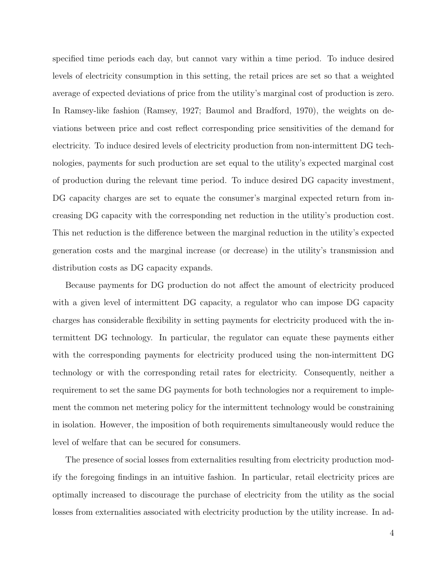specified time periods each day, but cannot vary within a time period. To induce desired levels of electricity consumption in this setting, the retail prices are set so that a weighted average of expected deviations of price from the utility's marginal cost of production is zero. In Ramsey-like fashion (Ramsey, 1927; Baumol and Bradford, 1970), the weights on deviations between price and cost reflect corresponding price sensitivities of the demand for electricity. To induce desired levels of electricity production from non-intermittent DG technologies, payments for such production are set equal to the utility's expected marginal cost of production during the relevant time period. To induce desired DG capacity investment, DG capacity charges are set to equate the consumer's marginal expected return from increasing DG capacity with the corresponding net reduction in the utility's production cost. This net reduction is the difference between the marginal reduction in the utility's expected generation costs and the marginal increase (or decrease) in the utility's transmission and distribution costs as DG capacity expands.

Because payments for DG production do not affect the amount of electricity produced with a given level of intermittent DG capacity, a regulator who can impose DG capacity charges has considerable flexibility in setting payments for electricity produced with the intermittent DG technology. In particular, the regulator can equate these payments either with the corresponding payments for electricity produced using the non-intermittent DG technology or with the corresponding retail rates for electricity. Consequently, neither a requirement to set the same DG payments for both technologies nor a requirement to implement the common net metering policy for the intermittent technology would be constraining in isolation. However, the imposition of both requirements simultaneously would reduce the level of welfare that can be secured for consumers.

The presence of social losses from externalities resulting from electricity production modify the foregoing findings in an intuitive fashion. In particular, retail electricity prices are optimally increased to discourage the purchase of electricity from the utility as the social losses from externalities associated with electricity production by the utility increase. In ad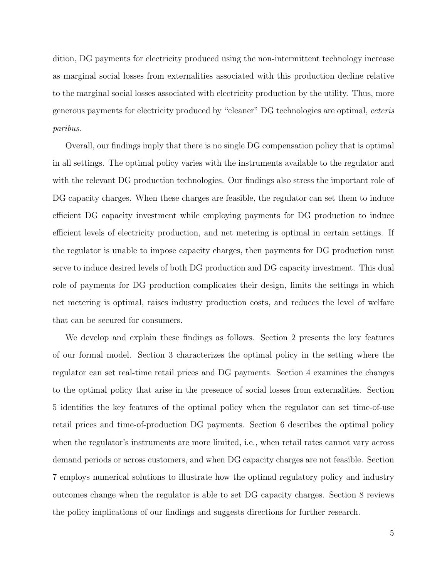dition, DG payments for electricity produced using the non-intermittent technology increase as marginal social losses from externalities associated with this production decline relative to the marginal social losses associated with electricity production by the utility. Thus, more generous payments for electricity produced by "cleaner" DG technologies are optimal, ceteris paribus.

Overall, our findings imply that there is no single DG compensation policy that is optimal in all settings. The optimal policy varies with the instruments available to the regulator and with the relevant DG production technologies. Our findings also stress the important role of DG capacity charges. When these charges are feasible, the regulator can set them to induce efficient DG capacity investment while employing payments for DG production to induce efficient levels of electricity production, and net metering is optimal in certain settings. If the regulator is unable to impose capacity charges, then payments for DG production must serve to induce desired levels of both DG production and DG capacity investment. This dual role of payments for DG production complicates their design, limits the settings in which net metering is optimal, raises industry production costs, and reduces the level of welfare that can be secured for consumers.

We develop and explain these findings as follows. Section 2 presents the key features of our formal model. Section 3 characterizes the optimal policy in the setting where the regulator can set real-time retail prices and DG payments. Section 4 examines the changes to the optimal policy that arise in the presence of social losses from externalities. Section 5 identifies the key features of the optimal policy when the regulator can set time-of-use retail prices and time-of-production DG payments. Section 6 describes the optimal policy when the regulator's instruments are more limited, i.e., when retail rates cannot vary across demand periods or across customers, and when DG capacity charges are not feasible. Section 7 employs numerical solutions to illustrate how the optimal regulatory policy and industry outcomes change when the regulator is able to set DG capacity charges. Section 8 reviews the policy implications of our findings and suggests directions for further research.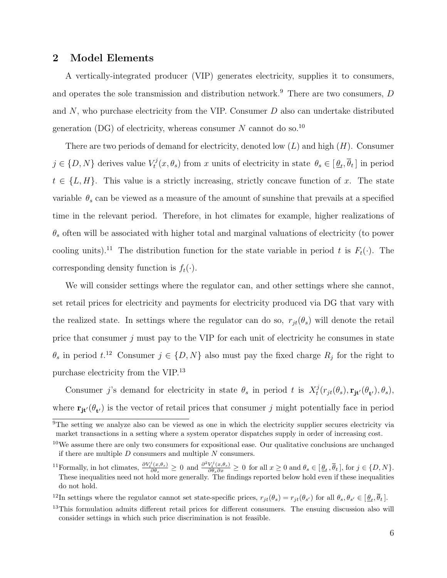#### 2 Model Elements

A vertically-integrated producer (VIP) generates electricity, supplies it to consumers, and operates the sole transmission and distribution network.<sup>9</sup> There are two consumers,  $D$ and N, who purchase electricity from the VIP. Consumer D also can undertake distributed generation (DG) of electricity, whereas consumer  $N$  cannot do so.<sup>10</sup>

There are two periods of demand for electricity, denoted low  $(L)$  and high  $(H)$ . Consumer  $j \in \{D, N\}$  derives value  $V_t^j$  $t^{\prime\prime}(x,\theta_s)$  from x units of electricity in state  $\theta_s \in [\theta_t, \overline{\theta}_t]$  in period  $t \in \{L, H\}$ . This value is a strictly increasing, strictly concave function of x. The state variable  $\theta_s$  can be viewed as a measure of the amount of sunshine that prevails at a specified time in the relevant period. Therefore, in hot climates for example, higher realizations of  $\theta_s$  often will be associated with higher total and marginal valuations of electricity (to power cooling units).<sup>11</sup> The distribution function for the state variable in period t is  $F_t(\cdot)$ . The corresponding density function is  $f_t(\cdot)$ .

We will consider settings where the regulator can, and other settings where she cannot, set retail prices for electricity and payments for electricity produced via DG that vary with the realized state. In settings where the regulator can do so,  $r_{it}(\theta_s)$  will denote the retail price that consumer  $j$  must pay to the VIP for each unit of electricity he consumes in state  $\theta_s$  in period  $t^{12}$  Consumer  $j \in \{D, N\}$  also must pay the fixed charge  $R_j$  for the right to purchase electricity from the VIP.<sup>13</sup>

Consumer j's demand for electricity in state  $\theta_s$  in period t is  $X_t^j$  $t^{\jmath}(r_{jt}(\theta_s), \mathbf{r_{jt'}}(\theta_{t'}), \theta_s),$ where  $\mathbf{r}_{jt'}(\theta_{t'})$  is the vector of retail prices that consumer j might potentially face in period

<sup>12</sup>In settings where the regulator cannot set state-specific prices,  $r_{jt}(\theta_s) = r_{jt}(\theta_{s'})$  for all  $\theta_s, \theta_{s'} \in [\theta_t, \overline{\theta}_t]$ .

<sup>&</sup>lt;sup>9</sup>The setting we analyze also can be viewed as one in which the electricity supplier secures electricity via market transactions in a setting where a system operator dispatches supply in order of increasing cost.

<sup>&</sup>lt;sup>10</sup>We assume there are only two consumers for expositional ease. Our qualitative conclusions are unchanged if there are multiple  $D$  consumers and multiple  $N$  consumers.

<sup>&</sup>lt;sup>11</sup>Formally, in hot climates,  $\frac{\partial V_i^j(x,\theta_s)}{\partial \theta}$  $\frac{\partial^j(x,\theta_s)}{\partial \theta_s} \geq 0$  and  $\frac{\partial^2 V_t^j(x,\theta_s)}{\partial \theta_s \partial x} \geq 0$  for all  $x \geq 0$  and  $\theta_s \in [\underline{\theta}_t, \overline{\theta}_t]$ , for  $j \in \{D, N\}$ . These inequalities need not hold more generally. The findings reported below hold even if these inequalities do not hold.

<sup>&</sup>lt;sup>13</sup>This formulation admits different retail prices for different consumers. The ensuing discussion also will consider settings in which such price discrimination is not feasible.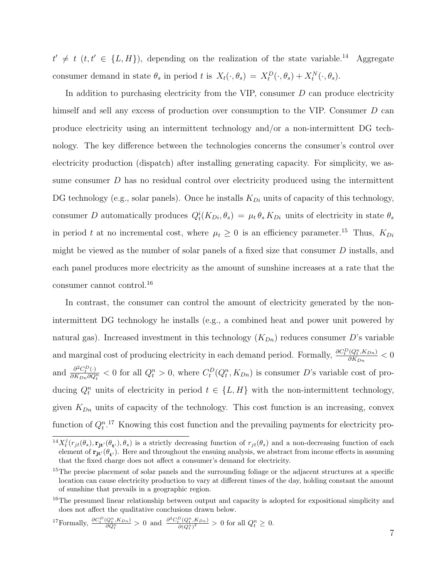$t' \neq t$   $(t, t' \in \{L, H\})$ , depending on the realization of the state variable.<sup>14</sup> Aggregate consumer demand in state  $\theta_s$  in period t is  $X_t(\cdot, \theta_s) = X_t^D(\cdot, \theta_s) + X_t^N(\cdot, \theta_s)$ .

In addition to purchasing electricity from the VIP, consumer  $D$  can produce electricity himself and sell any excess of production over consumption to the VIP. Consumer D can produce electricity using an intermittent technology and/or a non-intermittent DG technology. The key difference between the technologies concerns the consumer's control over electricity production (dispatch) after installing generating capacity. For simplicity, we assume consumer D has no residual control over electricity produced using the intermittent DG technology (e.g., solar panels). Once he installs  $K_{Di}$  units of capacity of this technology, consumer D automatically produces  $Q_t^i(K_{Di}, \theta_s) = \mu_t \theta_s K_{Di}$  units of electricity in state  $\theta_s$ in period t at no incremental cost, where  $\mu_t \geq 0$  is an efficiency parameter.<sup>15</sup> Thus,  $K_{Di}$ might be viewed as the number of solar panels of a fixed size that consumer D installs, and each panel produces more electricity as the amount of sunshine increases at a rate that the consumer cannot control.<sup>16</sup>

In contrast, the consumer can control the amount of electricity generated by the nonintermittent DG technology he installs (e.g., a combined heat and power unit powered by natural gas). Increased investment in this technology  $(K_{Dn})$  reduces consumer D's variable and marginal cost of producing electricity in each demand period. Formally,  $\frac{\partial C_t^D(Q_t^n, K_{D_n})}{\partial K_D}$  $\frac{(Q_t^n, K_{D_n})}{\partial K_{D_n}} < 0$ and  $\frac{\partial^2 C_l^D(\cdot)}{\partial K_D \partial O}$  $\frac{\partial^2 C_t^D(t)}{\partial K_{Dn}\partial Q_t^n}$  < 0 for all  $Q_t^n > 0$ , where  $C_t^D(Q_t^n, K_{Dn})$  is consumer D's variable cost of producing  $Q_t^n$  units of electricity in period  $t \in \{L, H\}$  with the non-intermittent technology, given  $K_{Dn}$  units of capacity of the technology. This cost function is an increasing, convex function of  $Q_t^n$ .<sup>17</sup> Knowing this cost function and the prevailing payments for electricity pro-

$$
{}^{17}\text{Formally, }\frac{\partial C_t^D(Q_t^n,K_{Dn})}{\partial Q_t^n} > 0 \text{ and } \frac{\partial^2 C_t^D(Q_t^n,K_{Dn})}{\partial (Q_t^n)^2} > 0 \text{ for all } Q_t^n \ge 0.
$$

 $^{14}X_t^j(r_{jt}(\theta_s), \mathbf{r_{jt'}}(\theta_{t'}), \theta_s)$  is a strictly decreasing function of  $r_{jt}(\theta_s)$  and a non-decreasing function of each element of  $\mathbf{r_{jt'}}(\theta_{t'})$ . Here and throughout the ensuing analysis, we abstract from income effects in assuming that the fixed charge does not affect a consumer's demand for electricity.

<sup>&</sup>lt;sup>15</sup>The precise placement of solar panels and the surrounding foliage or the adjacent structures at a specific location can cause electricity production to vary at different times of the day, holding constant the amount of sunshine that prevails in a geographic region.

<sup>&</sup>lt;sup>16</sup>The presumed linear relationship between output and capacity is adopted for expositional simplicity and does not affect the qualitative conclusions drawn below.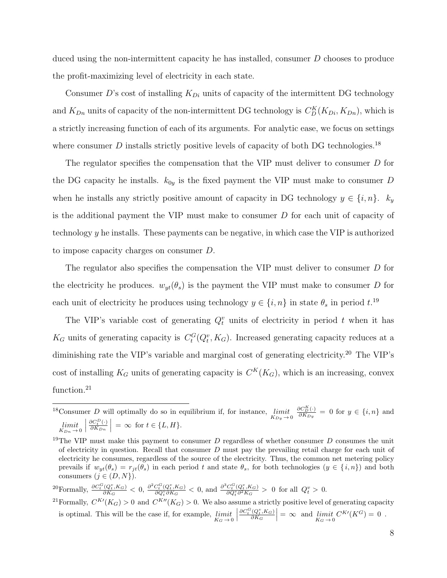duced using the non-intermittent capacity he has installed, consumer D chooses to produce the profit-maximizing level of electricity in each state.

Consumer D's cost of installing  $K_{Di}$  units of capacity of the intermittent DG technology and  $K_{Dn}$  units of capacity of the non-intermittent DG technology is  $C_{D}^{K}(K_{D_i}, K_{Dn})$ , which is a strictly increasing function of each of its arguments. For analytic ease, we focus on settings where consumer D installs strictly positive levels of capacity of both DG technologies.<sup>18</sup>

The regulator specifies the compensation that the VIP must deliver to consumer D for the DG capacity he installs.  $k_{0y}$  is the fixed payment the VIP must make to consumer D when he installs any strictly positive amount of capacity in DG technology  $y \in \{i, n\}$ .  $k_y$ is the additional payment the VIP must make to consumer  $D$  for each unit of capacity of technology y he installs. These payments can be negative, in which case the VIP is authorized to impose capacity charges on consumer D.

The regulator also specifies the compensation the VIP must deliver to consumer D for the electricity he produces.  $w_{yt}(\theta_s)$  is the payment the VIP must make to consumer D for each unit of electricity he produces using technology  $y \in \{i, n\}$  in state  $\theta_s$  in period  $t$ .<sup>19</sup>

The VIP's variable cost of generating  $Q_t^v$  units of electricity in period t when it has  $K_G$  units of generating capacity is  $C_t^G(Q_t^v, K_G)$ . Increased generating capacity reduces at a diminishing rate the VIP's variable and marginal cost of generating electricity.<sup>20</sup> The VIP's cost of installing  $K_G$  units of generating capacity is  $C^K(K_G)$ , which is an increasing, convex function.<sup>21</sup>

<sup>20</sup>Formally,  $\frac{\partial C_t^G(Q_t^v, K_G)}{\partial K_G}$  $\frac{\partial^2 C_t^{\mathcal{G}}(Q_t^v, K_G)}{\partial Q_t^v \partial K_G} < 0$ , and  $\frac{\partial^3 C_t^{\mathcal{G}}(Q_t^v, K_G)}{\partial Q_t^v \partial^2 K_G} > 0$  for all  $Q_t^v > 0$ .

<sup>&</sup>lt;sup>18</sup>Consumer D will optimally do so in equilibrium if, for instance,  $\lim_{K_{D_y}\to 0}$  $\frac{\partial C_D^K(\cdot)}{\partial K_{Dy}} = 0$  for  $y \in \{i, n\}$  and  $\lim_{K_{D_n}\to 0}$  $\begin{array}{c} \begin{array}{c} \begin{array}{c} \end{array} \\ \begin{array}{c} \end{array} \end{array} \end{array}$  $\partial C_t^D(\cdot)$  $\left|\frac{\partial C_t^D(\cdot)}{\partial K_{D_n}}\right| = \infty$  for  $t \in \{L, H\}.$ 

<sup>&</sup>lt;sup>19</sup>The VIP must make this payment to consumer D regardless of whether consumer D consumes the unit of electricity in question. Recall that consumer  $D$  must pay the prevailing retail charge for each unit of electricity he consumes, regardless of the source of the electricity. Thus, the common net metering policy prevails if  $w_{yt}(\theta_s) = r_{jt}(\theta_s)$  in each period t and state  $\theta_s$ , for both technologies  $(y \in \{i, n\})$  and both consumers  $(j \in (D, N)$ .

<sup>&</sup>lt;sup>21</sup> Formally,  $C^{K'}(K_G) > 0$  and  $C^{K''}(K_G) > 0$ . We also assume a strictly positive level of generating capacity is optimal. This will be the case if, for example,  $\lim_{K_G \to 0}$  $\begin{array}{c} \begin{array}{c} \begin{array}{c} \end{array} \\ \begin{array}{c} \end{array} \end{array} \end{array}$  $\partial C_t^G(Q_t^v,K_G)$  $\left| \frac{(Q_t^v, K_G)}{\partial K_G} \right| = \infty$  and  $\lim_{K_G \to 0} \frac{C^{K'}(K^G)}{K^G} = 0$ .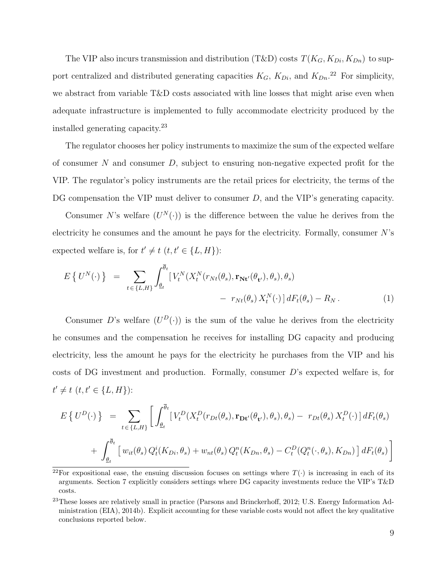The VIP also incurs transmission and distribution (T&D) costs  $T(K_G, K_{Di}, K_{Dn})$  to support centralized and distributed generating capacities  $K_G$ ,  $K_{Di}$ , and  $K_{Dn}$ <sup>22</sup> For simplicity, we abstract from variable T&D costs associated with line losses that might arise even when adequate infrastructure is implemented to fully accommodate electricity produced by the installed generating capacity.<sup>23</sup>

The regulator chooses her policy instruments to maximize the sum of the expected welfare of consumer N and consumer  $D$ , subject to ensuring non-negative expected profit for the VIP. The regulator's policy instruments are the retail prices for electricity, the terms of the DG compensation the VIP must deliver to consumer D, and the VIP's generating capacity.

Consumer N's welfare  $(U^N(\cdot))$  is the difference between the value he derives from the electricity he consumes and the amount he pays for the electricity. Formally, consumer  $N$ 's expected welfare is, for  $t' \neq t$   $(t, t' \in \{L, H\})$ :

$$
E\left\{ U^N(\cdot) \right\} = \sum_{t \in \{L,H\}} \int_{\underline{\theta}_t}^{\overline{\theta}_t} \left[ V_t^N(X_t^N(r_{Nt}(\theta_s), \mathbf{r}_{Nt'}(\theta_{t'}), \theta_s), \theta_s) - r_{Nt}(\theta_s) X_t^N(\cdot) \right] dF_t(\theta_s) - R_N. \tag{1}
$$

Consumer D's welfare  $(U^D(\cdot))$  is the sum of the value he derives from the electricity he consumes and the compensation he receives for installing DG capacity and producing electricity, less the amount he pays for the electricity he purchases from the VIP and his costs of DG investment and production. Formally, consumer D's expected welfare is, for  $t' \neq t \ (t, t' \in \{L, H\})$ :

$$
E\left\{U^{D}(\cdot)\right\} = \sum_{t \in \{L,H\}} \left[ \int_{\underline{\theta}_{t}}^{\overline{\theta}_{t}} \left[ V_{t}^{D}(X_{t}^{D}(r_{Dt}(\theta_{s}), \mathbf{r}_{Dt}(\theta_{t'}), \theta_{s}), \theta_{s}) - r_{Dt}(\theta_{s}) X_{t}^{D}(\cdot) \right] dF_{t}(\theta_{s}) + \int_{\underline{\theta}_{t}}^{\overline{\theta}_{t}} \left[ w_{it}(\theta_{s}) Q_{t}^{i}(K_{Di}, \theta_{s}) + w_{nt}(\theta_{s}) Q_{t}^{n}(K_{Dn}, \theta_{s}) - C_{t}^{D}(Q_{t}^{n}(\cdot, \theta_{s}), K_{Dn}) \right] dF_{t}(\theta_{s}) \right]
$$

<sup>&</sup>lt;sup>22</sup>For expositional ease, the ensuing discussion focuses on settings where  $T(\cdot)$  is increasing in each of its arguments. Section 7 explicitly considers settings where DG capacity investments reduce the VIP's T&D costs.

<sup>&</sup>lt;sup>23</sup>These losses are relatively small in practice (Parsons and Brinckerhoff, 2012; U.S. Energy Information Administration (EIA), 2014b). Explicit accounting for these variable costs would not affect the key qualitative conclusions reported below.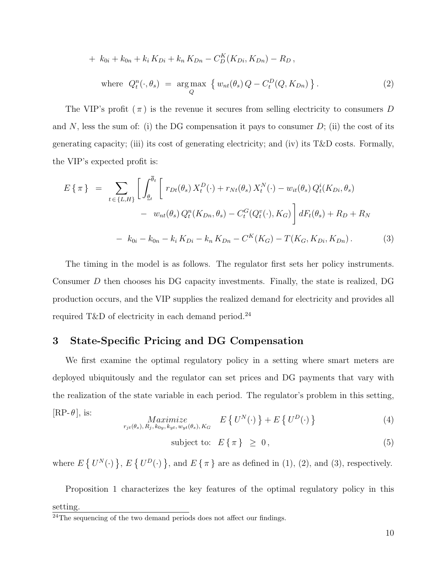+ 
$$
k_{0i} + k_{0n} + k_i K_{Di} + k_n K_{Dn} - C_D^K(K_{Di}, K_{Dn}) - R_D
$$
,  
where  $Q_t^n(\cdot, \theta_s) = \underset{Q}{\arg \max} \{ w_{nt}(\theta_s) Q - C_t^D(Q, K_{Dn}) \}.$  (2)

The VIP's profit  $(\pi)$  is the revenue it secures from selling electricity to consumers D and N, less the sum of: (i) the DG compensation it pays to consumer  $D$ ; (ii) the cost of its generating capacity; (iii) its cost of generating electricity; and (iv) its T&D costs. Formally, the VIP's expected profit is:

$$
E\{\pi\} = \sum_{t \in \{L,H\}} \left[ \int_{\underline{\theta}_t}^{\overline{\theta}_t} \left[ r_{Dt}(\theta_s) X_t^D(\cdot) + r_{Nt}(\theta_s) X_t^N(\cdot) - w_{it}(\theta_s) Q_t^i(K_{Di}, \theta_s) - w_{nt}(\theta_s) Q_t^n(K_{Dn}, \theta_s) - C_t^G(Q_t^v(\cdot), K_G) \right] dF_t(\theta_s) + R_D + R_N - k_{0i} - k_{0n} - k_i K_{Di} - k_n K_{Dn} - C^K(K_G) - T(K_G, K_{Di}, K_{Dn}). \tag{3}
$$

The timing in the model is as follows. The regulator first sets her policy instruments. Consumer D then chooses his DG capacity investments. Finally, the state is realized, DG production occurs, and the VIP supplies the realized demand for electricity and provides all required  $T\&D$  of electricity in each demand period.<sup>24</sup>

# 3 State-Specific Pricing and DG Compensation

We first examine the optimal regulatory policy in a setting where smart meters are deployed ubiquitously and the regulator can set prices and DG payments that vary with the realization of the state variable in each period. The regulator's problem in this setting,  $[RP-\theta]$ , is:

$$
\begin{array}{ll}\nMaximize \\
 r_{jt}(\theta_s), R_j, k_{0y}, k_{yt}, w_{yt}(\theta_s), K_G\n\end{array}\n\quad\nE\left\{\n\begin{array}{l}\nU^N(\cdot)\n\end{array}\n\right\} + E\left\{\n\begin{array}{l}\nU^D(\cdot)\n\end{array}\n\right\}\n\tag{4}
$$

$$
subject to: E\{\pi\} \geq 0,
$$
\n
$$
(5)
$$

where  $E\{U^N(\cdot)\}\, E\{U^D(\cdot)\}\,$ , and  $E\{\pi\}\$ are as defined in (1), (2), and (3), respectively.

Proposition 1 characterizes the key features of the optimal regulatory policy in this setting.

 $24$ The sequencing of the two demand periods does not affect our findings.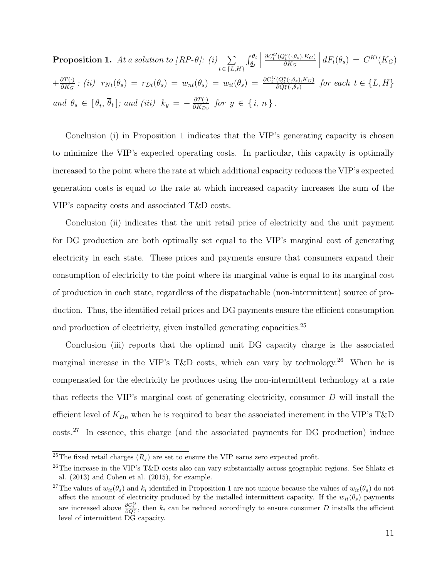**Proposition 1.** At a solution to  $[RP-\theta]$ :  $(i)$   $\sum$  $t \in \{L, H\}$  $\int_{\underline{\theta}_t}^{\theta_t}$  $\begin{array}{c} \begin{array}{c} \begin{array}{c} \end{array} \\ \begin{array}{c} \end{array} \end{array} \end{array}$  $\frac{\partial C_t^G(Q_t^v(\cdot,\theta_s),K_G)}{=}$  $\partial K_G$  $\begin{array}{c} \begin{array}{c} \begin{array}{c} \end{array} \\ \begin{array}{c} \end{array} \end{array} \end{array}$  $dF_t(\theta_s) = C^{K'}(K_G)$  $+\frac{\partial T(\cdot)}{\partial K_{\alpha}}$  $\frac{\partial T(\cdot)}{\partial K_G}$ ; (ii)  $r_{Nt}(\theta_s) = r_{Dt}(\theta_s) = w_{nt}(\theta_s) = w_{it}(\theta_s) = \frac{\partial C_t^G(Q_t^v(\cdot,\theta_s),K_G)}{\partial Q_t^v(\cdot,\theta_s)}$  $\frac{(Q_t^c(\cdot,\theta_s),K_G)}{\partial Q_t^v(\cdot,\theta_s)}$  for each  $t \in \{L,H\}$ and  $\theta_s \in [\underline{\theta}_t, \overline{\theta}_t]$ ; and (iii)  $k_y = -\frac{\partial T(\cdot)}{\partial K_{D_y}}$  $\frac{\partial I(\cdot)}{\partial K_{Dy}}$  for  $y \in \{i, n\}$ .

Conclusion (i) in Proposition 1 indicates that the VIP's generating capacity is chosen to minimize the VIP's expected operating costs. In particular, this capacity is optimally increased to the point where the rate at which additional capacity reduces the VIP's expected generation costs is equal to the rate at which increased capacity increases the sum of the VIP's capacity costs and associated T&D costs.

Conclusion (ii) indicates that the unit retail price of electricity and the unit payment for DG production are both optimally set equal to the VIP's marginal cost of generating electricity in each state. These prices and payments ensure that consumers expand their consumption of electricity to the point where its marginal value is equal to its marginal cost of production in each state, regardless of the dispatachable (non-intermittent) source of production. Thus, the identified retail prices and DG payments ensure the efficient consumption and production of electricity, given installed generating capacities.<sup>25</sup>

Conclusion (iii) reports that the optimal unit DG capacity charge is the associated marginal increase in the VIP's T&D costs, which can vary by technology.<sup>26</sup> When he is compensated for the electricity he produces using the non-intermittent technology at a rate that reflects the VIP's marginal cost of generating electricity, consumer D will install the efficient level of  $K_{Dn}$  when he is required to bear the associated increment in the VIP's T&D costs.<sup>27</sup> In essence, this charge (and the associated payments for DG production) induce

<sup>&</sup>lt;sup>25</sup>The fixed retail charges  $(R_i)$  are set to ensure the VIP earns zero expected profit.

 $^{26}$ The increase in the VIP's T&D costs also can vary substantially across geographic regions. See Shlatz et al. (2013) and Cohen et al. (2015), for example.

<sup>&</sup>lt;sup>27</sup>The values of  $w_{it}(\theta_s)$  and  $k_i$  identified in Proposition 1 are not unique because the values of  $w_{it}(\theta_s)$  do not affect the amount of electricity produced by the installed intermittent capacity. If the  $w_{it}(\theta_s)$  payments are increased above  $\frac{\partial C_t^G}{\partial Q_t^v}$ , then  $k_i$  can be reduced accordingly to ensure consumer D installs the efficient level of intermittent DG capacity.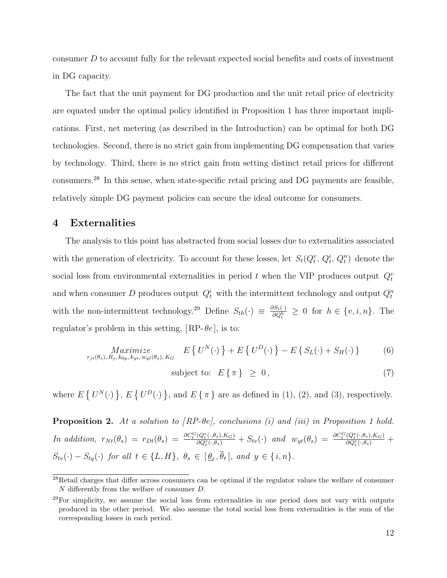consumer D to account fully for the relevant expected social benefits and costs of investment in DG capacity.

The fact that the unit payment for DG production and the unit retail price of electricity are equated under the optimal policy identified in Proposition 1 has three important implications. First, net metering (as described in the Introduction) can be optimal for both DG technologies. Second, there is no strict gain from implementing DG compensation that varies by technology. Third, there is no strict gain from setting distinct retail prices for different consumers.<sup>28</sup> In this sense, when state-specific retail pricing and DG payments are feasible, relatively simple DG payment policies can secure the ideal outcome for consumers.

### 4 Externalities

The analysis to this point has abstracted from social losses due to externalities associated with the generation of electricity. To account for these losses, let  $S_t(Q_t^v, Q_t^i, Q_t^n)$  denote the social loss from environmental externalities in period t when the VIP produces output  $Q_t^v$ and when consumer D produces output  $Q_t^i$  with the intermittent technology and output  $Q_t^n$ with the non-intermittent technology.<sup>29</sup> Define  $S_{th}(\cdot) \equiv \frac{\partial S_{t}(\cdot)}{\partial O^{h}}$  $\frac{\partial S_t(\cdot)}{\partial Q_t^h} \geq 0$  for  $h \in \{v, i, n\}$ . The regulator's problem in this setting,  $[RP - \theta e]$ , is to:

$$
\underset{r_{jt}(\theta_s), R_j, k_{0y}, k_{yt}, w_{yt}(\theta_s), K_G}{Maximize} E\left\{ U^N(\cdot) \right\} + E\left\{ U^D(\cdot) \right\} - E\left\{ S_L(\cdot) + S_H(\cdot) \right\} \tag{6}
$$

$$
subject to: E\{\pi\} \geq 0,
$$
\n
$$
(7)
$$

where  $E\{U^N(\cdot)\}\, E\{U^D(\cdot)\}\,$  and  $E\{\pi\}\$ are as defined in (1), (2), and (3), respectively.

**Proposition 2.** At a solution to  $[RP-\theta e]$ , conclusions *(i)* and *(iii)* in Proposition 1 hold. In addition,  $r_{Nt}(\theta_s) = r_{Dt}(\theta_s) = \frac{\partial C_t^G(Q_t^v(\cdot,\theta_s),K_G)}{\partial Q_t^v(\cdot,\theta_s)}$  $\frac{(Q_t^v(\cdot,\theta_s),K_G)}{\partial Q_t^v(\cdot,\theta_s)} + S_{tv}(\cdot)$  and  $w_{yt}(\theta_s) = \frac{\partial C_t^G(Q_t^v(\cdot,\theta_s),K_G)}{\partial Q_t^v(\cdot,\theta_s)}$  $\frac{\left(Q_t^v(\cdot,\theta_s),K_G\right)}{\partial Q_t^v(\cdot,\theta_s)}$  +  $S_{tv}(\cdot) - S_{ty}(\cdot)$  for all  $t \in \{L, H\}, \theta_s \in [\underline{\theta}_t, \theta_t],$  and  $y \in \{i, n\}.$ 

<sup>&</sup>lt;sup>28</sup>Retail charges that differ across consumers can be optimal if the regulator values the welfare of consumer N differently from the welfare of consumer D.

 $^{29}$ For simplicity, we assume the social loss from externalities in one period does not vary with outputs produced in the other period. We also assume the total social loss from externalities is the sum of the corresponding losses in each period.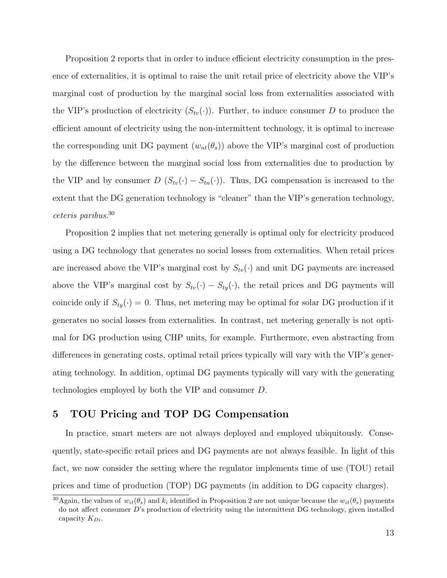Proposition 2 reports that in order to induce efficient electricity consumption in the presence of externalities, it is optimal to raise the unit retail price of electricity above the VIP's marginal cost of production by the marginal social loss from externalities associated with the VIP's production of electricity  $(S_{tv}(\cdot))$ . Further, to induce consumer D to produce the efficient amount of electricity using the non-intermittent technology, it is optimal to increase the corresponding unit DG payment  $(w_{nt}(\theta_s))$  above the VIP's marginal cost of production by the difference between the marginal social loss from externalities due to production by the VIP and by consumer  $D(S_{tv}(\cdot) - S_{tn}(\cdot))$ . Thus, DG compensation is increased to the extent that the DG generation technology is "cleaner" than the VIP's generation technology, ceteris paribus. 30

Proposition 2 implies that net metering generally is optimal only for electricity produced using a DG technology that generates no social losses from externalities. When retail prices are increased above the VIP's marginal cost by  $S_{tv}(\cdot)$  and unit DG payments are increased above the VIP's marginal cost by  $S_{tv}(\cdot) - S_{ty}(\cdot)$ , the retail prices and DG payments will coincide only if  $S_{ty}(\cdot) = 0$ . Thus, net metering may be optimal for solar DG production if it generates no social losses from externalities. In contrast, net metering generally is not optimal for DG production using CHP units, for example. Furthermore, even abstracting from differences in generating costs, optimal retail prices typically will vary with the VIP's generating technology. In addition, optimal DG payments typically will vary with the generating technologies employed by both the VIP and consumer D.

# 5 TOU Pricing and TOP DG Compensation

In practice, smart meters are not always deployed and employed ubiquitously. Consequently, state-specific retail prices and DG payments are not always feasible. In light of this fact, we now consider the setting where the regulator implements time of use (TOU) retail prices and time of production (TOP) DG payments (in addition to DG capacity charges).

<sup>&</sup>lt;sup>30</sup>Again, the values of  $w_{it}(\theta_s)$  and  $k_i$  identified in Proposition 2 are not unique because the  $w_{it}(\theta_s)$  payments do not affect consumer  $D$ 's production of electricity using the intermittent DG technology, given installed capacity  $K_{Di}$ .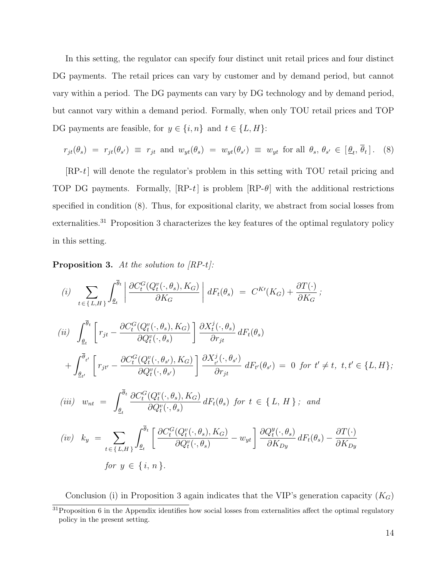In this setting, the regulator can specify four distinct unit retail prices and four distinct DG payments. The retail prices can vary by customer and by demand period, but cannot vary within a period. The DG payments can vary by DG technology and by demand period, but cannot vary within a demand period. Formally, when only TOU retail prices and TOP DG payments are feasible, for  $y \in \{i, n\}$  and  $t \in \{L, H\}$ :

$$
r_{jt}(\theta_s) = r_{jt}(\theta_{s'}) \equiv r_{jt} \text{ and } w_{yt}(\theta_s) = w_{yt}(\theta_{s'}) \equiv w_{yt} \text{ for all } \theta_s, \theta_{s'} \in [\underline{\theta}_t, \overline{\theta}_t]. \quad (8)
$$

[RP-t] will denote the regulator's problem in this setting with TOU retail pricing and TOP DG payments. Formally,  $[RP-t]$  is problem  $[RP-\theta]$  with the additional restrictions specified in condition (8). Thus, for expositional clarity, we abstract from social losses from externalities.<sup>31</sup> Proposition 3 characterizes the key features of the optimal regulatory policy in this setting.

Proposition 3. At the solution to [RP-t]:

(i) 
$$
\sum_{t \in \{L,H\}} \int_{\theta_t}^{\theta_t} \left| \frac{\partial C_t^G(Q_t^v(\cdot, \theta_s), K_G)}{\partial K_G} \right| dF_t(\theta_s) = C^{K'}(K_G) + \frac{\partial T(\cdot)}{\partial K_G};
$$
  
\n(ii) 
$$
\int_{\theta_t}^{\overline{\theta}_t} \left[ r_{jt} - \frac{\partial C_t^G(Q_t^v(\cdot, \theta_s), K_G)}{\partial Q_t^v(\cdot, \theta_s)} \right] \frac{\partial X_t^j(\cdot, \theta_s)}{\partial r_{jt}} dF_t(\theta_s)
$$

$$
+ \int_{\theta_{t'}}^{\overline{\theta}_{t'}} \left[ r_{jt'} - \frac{\partial C_t^G(Q_t^v(\cdot, \theta_{s'}), K_G)}{\partial Q_t^v(\cdot, \theta_{s'})} \right] \frac{\partial X_t^j(\cdot, \theta_{s'})}{\partial r_{jt}} dF_{t'}(\theta_{s'}) = 0 \text{ for } t' \neq t, t, t' \in \{L, H\};
$$
  
\n(iii) 
$$
w_{nt} = \int_{\theta_t}^{\overline{\theta}_t} \frac{\partial C_t^G(Q_t^v(\cdot, \theta_s), K_G)}{\partial Q_t^v(\cdot, \theta_s)} dF_t(\theta_s) \text{ for } t \in \{L, H\}; \text{ and}
$$
  
\n(iv) 
$$
k_y = \sum_{t \in \{L, H\}} \int_{\theta_t}^{\overline{\theta}_t} \left[ \frac{\partial C_t^G(Q_t^v(\cdot, \theta_s), K_G)}{\partial Q_t^v(\cdot, \theta_s)} - w_{yt} \right] \frac{\partial Q_t^y(\cdot, \theta_s)}{\partial K_{Dy}} dF_t(\theta_s) - \frac{\partial T(\cdot)}{\partial K_{Dy}}
$$
  
\nfor 
$$
y \in \{i, n\}.
$$

Conclusion (i) in Proposition 3 again indicates that the VIP's generation capacity  $(K_G)$ 

<sup>&</sup>lt;sup>31</sup>Proposition 6 in the Appendix identifies how social losses from externalities affect the optimal regulatory policy in the present setting.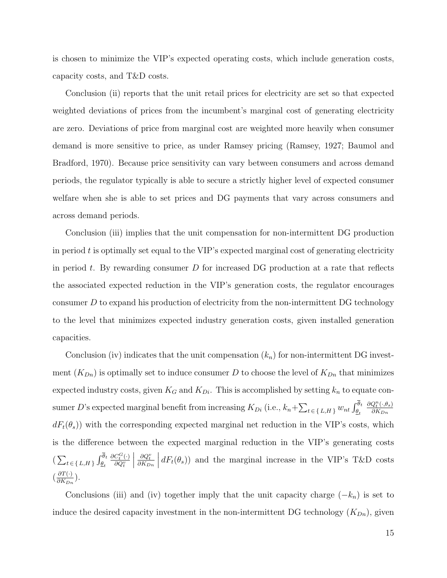is chosen to minimize the VIP's expected operating costs, which include generation costs, capacity costs, and T&D costs.

Conclusion (ii) reports that the unit retail prices for electricity are set so that expected weighted deviations of prices from the incumbent's marginal cost of generating electricity are zero. Deviations of price from marginal cost are weighted more heavily when consumer demand is more sensitive to price, as under Ramsey pricing (Ramsey, 1927; Baumol and Bradford, 1970). Because price sensitivity can vary between consumers and across demand periods, the regulator typically is able to secure a strictly higher level of expected consumer welfare when she is able to set prices and DG payments that vary across consumers and across demand periods.

Conclusion (iii) implies that the unit compensation for non-intermittent DG production in period t is optimally set equal to the VIP's expected marginal cost of generating electricity in period  $t$ . By rewarding consumer  $D$  for increased DG production at a rate that reflects the associated expected reduction in the VIP's generation costs, the regulator encourages consumer  $D$  to expand his production of electricity from the non-intermittent DG technology to the level that minimizes expected industry generation costs, given installed generation capacities.

Conclusion (iv) indicates that the unit compensation  $(k_n)$  for non-intermittent DG investment  $(K_{Dn})$  is optimally set to induce consumer D to choose the level of  $K_{Dn}$  that minimizes expected industry costs, given  $K_G$  and  $K_{Di}$ . This is accomplished by setting  $k_n$  to equate consumer D's expected marginal benefit from increasing  $K_{Di}$  (i.e.,  $k_n + \sum_{t \in \set{L,H}} w_{nt} \int_{\theta_t}^{\theta_t}$  $\partial Q_t^n(\cdot,\theta_s)$  $\partial K_{Dn}$  $dF_t(\theta_s)$ ) with the corresponding expected marginal net reduction in the VIP's costs, which is the difference between the expected marginal reduction in the VIP's generating costs  $\big( \sum_{t \in \{L,H\}} \int_{\underline{\theta}_t}^{\theta_t}$  $\partial C_t^{G}(\cdot)$  $\overline{\partial Q^v_t}$   $\frac{\partial Q_t^v}{\partial K_{Dn}}$   $dF_t(\theta_s)$  and the marginal increase in the VIP's T&D costs  $\left(\frac{\partial T(\cdot)}{\partial K_{\Gamma}}\right)$  $\frac{\partial I(\cdot)}{\partial K_{Dn}}$ .

Conclusions (iii) and (iv) together imply that the unit capacity charge  $(-k_n)$  is set to induce the desired capacity investment in the non-intermittent DG technology  $(K_{Dn})$ , given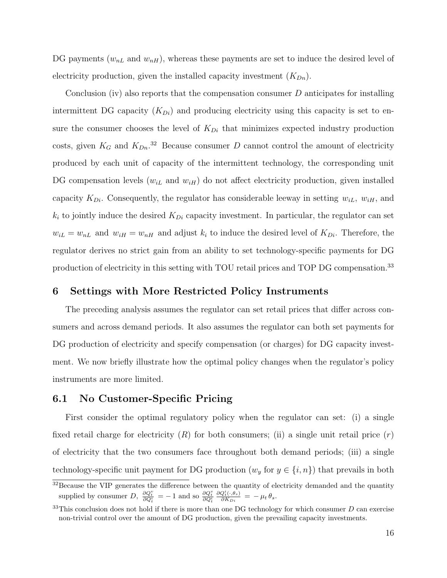DG payments  $(w_{nL}$  and  $w_{nH}$ , whereas these payments are set to induce the desired level of electricity production, given the installed capacity investment  $(K_{Dn})$ .

Conclusion (iv) also reports that the compensation consumer  $D$  anticipates for installing intermittent DG capacity  $(K_{Di})$  and producing electricity using this capacity is set to ensure the consumer chooses the level of  $K_{Di}$  that minimizes expected industry production costs, given  $K_G$  and  $K_{Dn}$ .<sup>32</sup> Because consumer D cannot control the amount of electricity produced by each unit of capacity of the intermittent technology, the corresponding unit DG compensation levels  $(w_{iL}$  and  $w_{iH}$ ) do not affect electricity production, given installed capacity  $K_{Di}$ . Consequently, the regulator has considerable leeway in setting  $w_{iL}$ ,  $w_{iH}$ , and  $k_i$  to jointly induce the desired  $K_{Di}$  capacity investment. In particular, the regulator can set  $w_{iL} = w_{nL}$  and  $w_{iH} = w_{nH}$  and adjust  $k_i$  to induce the desired level of  $K_{Di}$ . Therefore, the regulator derives no strict gain from an ability to set technology-specific payments for DG production of electricity in this setting with TOU retail prices and TOP DG compensation.<sup>33</sup>

#### 6 Settings with More Restricted Policy Instruments

The preceding analysis assumes the regulator can set retail prices that differ across consumers and across demand periods. It also assumes the regulator can both set payments for DG production of electricity and specify compensation (or charges) for DG capacity investment. We now briefly illustrate how the optimal policy changes when the regulator's policy instruments are more limited.

#### 6.1 No Customer-Specific Pricing

First consider the optimal regulatory policy when the regulator can set: (i) a single fixed retail charge for electricity  $(R)$  for both consumers; (ii) a single unit retail price  $(r)$ of electricity that the two consumers face throughout both demand periods; (iii) a single technology-specific unit payment for DG production  $(w_y \text{ for } y \in \{i, n\})$  that prevails in both

<sup>&</sup>lt;sup>32</sup>Because the VIP generates the difference between the quantity of electricity demanded and the quantity supplied by consumer D,  $\frac{\partial Q_t^v}{\partial Q_t^i} = -1$  and so  $\frac{\partial Q_t^v}{\partial Q_t^i}$  $\partial Q_t^i(\cdot,\theta_s)$  $\frac{\partial u_t(\cdot,\theta_s)}{\partial K_{Di}} = -\mu_t \theta_s.$ 

 $33$ This conclusion does not hold if there is more than one DG technology for which consumer D can exercise non-trivial control over the amount of DG production, given the prevailing capacity investments.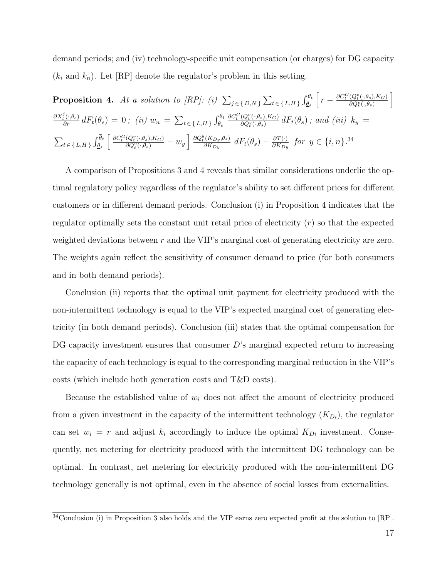demand periods; and (iv) technology-specific unit compensation (or charges) for DG capacity  $(k<sub>i</sub>$  and  $k<sub>n</sub>)$ . Let [RP] denote the regulator's problem in this setting.

**Proposition 4.** At a solution to 
$$
[RP]
$$
: (i)  $\sum_{j \in \{D,N\}} \sum_{t \in \{L,H\}} \int_{\theta_t}^{\overline{\theta}_t} \left[ r - \frac{\partial C_t^G(Q_t^v(\cdot,\theta_s), K_G)}{\partial Q_t^v(\cdot,\theta_s)} \right]$   
\n $\frac{\partial X_t^j(\cdot,\theta_s)}{\partial r} dF_t(\theta_s) = 0$ ; (ii)  $w_n = \sum_{t \in \{L,H\}} \int_{\theta_t}^{\overline{\theta}_t} \frac{\partial C_t^G(Q_t^v(\cdot,\theta_s), K_G)}{\partial Q_t^v(\cdot,\theta_s)} dF_t(\theta_s)$ ; and (iii)  $k_y = \sum_{t \in \{L,H\}} \int_{\theta_t}^{\overline{\theta}_t} \left[ \frac{\partial C_t^G(Q_t^v(\cdot,\theta_s), K_G)}{\partial Q_t^v(\cdot,\theta_s)} - w_y \right] \frac{\partial Q_t^y(K_{D_y}, \theta_s)}{\partial K_{D_y}} dF_t(\theta_s) - \frac{\partial T(\cdot)}{\partial K_{D_y}} \text{ for } y \in \{i, n\}.^{34}$ 

A comparison of Propositions 3 and 4 reveals that similar considerations underlie the optimal regulatory policy regardless of the regulator's ability to set different prices for different customers or in different demand periods. Conclusion (i) in Proposition 4 indicates that the regulator optimally sets the constant unit retail price of electricity  $(r)$  so that the expected weighted deviations between r and the VIP's marginal cost of generating electricity are zero. The weights again reflect the sensitivity of consumer demand to price (for both consumers and in both demand periods).

Conclusion (ii) reports that the optimal unit payment for electricity produced with the non-intermittent technology is equal to the VIP's expected marginal cost of generating electricity (in both demand periods). Conclusion (iii) states that the optimal compensation for DG capacity investment ensures that consumer  $D$ 's marginal expected return to increasing the capacity of each technology is equal to the corresponding marginal reduction in the VIP's costs (which include both generation costs and T&D costs).

Because the established value of  $w_i$  does not affect the amount of electricity produced from a given investment in the capacity of the intermittent technology  $(K_{Di})$ , the regulator can set  $w_i = r$  and adjust  $k_i$  accordingly to induce the optimal  $K_{Di}$  investment. Consequently, net metering for electricity produced with the intermittent DG technology can be optimal. In contrast, net metering for electricity produced with the non-intermittent DG technology generally is not optimal, even in the absence of social losses from externalities.

<sup>&</sup>lt;sup>34</sup>Conclusion (i) in Proposition 3 also holds and the VIP earns zero expected profit at the solution to [RP].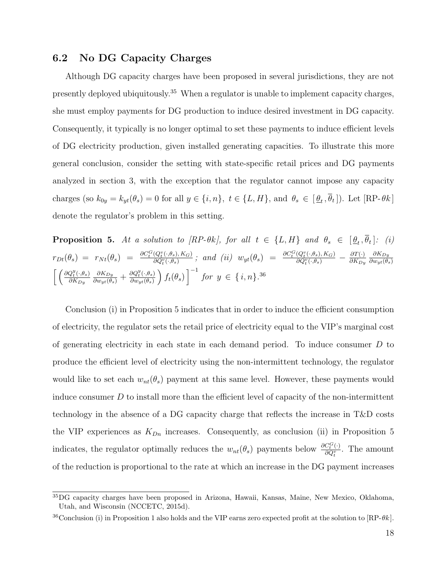# 6.2 No DG Capacity Charges

Although DG capacity charges have been proposed in several jurisdictions, they are not presently deployed ubiquitously.<sup>35</sup> When a regulator is unable to implement capacity charges, she must employ payments for DG production to induce desired investment in DG capacity. Consequently, it typically is no longer optimal to set these payments to induce efficient levels of DG electricity production, given installed generating capacities. To illustrate this more general conclusion, consider the setting with state-specific retail prices and DG payments analyzed in section 3, with the exception that the regulator cannot impose any capacity charges (so  $k_{0y} = k_{yt}(\theta_s) = 0$  for all  $y \in \{i, n\}, t \in \{L, H\}$ , and  $\theta_s \in [\theta_t, \overline{\theta}_t]$ ). Let  $[\text{RP-}\theta_k]$ denote the regulator's problem in this setting.

**Proposition 5.** At a solution to [RP- $\theta$ k], for all  $t \in \{L, H\}$  and  $\theta_s \in [\underline{\theta}_t, \theta_t]$ : (i)  $r_{Dt}(\theta_s) = r_{Nt}(\theta_s) = \frac{\partial C_t^G(Q_t^v(\cdot,\theta_s),K_G)}{\partial Q^v(\cdot,\theta_s)}$  $\frac{(Q_t^v(\cdot,\theta_s),K_G)}{\partial Q_t^v(\cdot,\theta_s)}$ ; and (ii)  $w_{yt}(\theta_s) = \frac{\partial C_t^G(Q_t^v(\cdot,\theta_s),K_G)}{\partial Q_t^v(\cdot,\theta_s)}$  $\frac{\left(Q_t^v(\cdot,\theta_s),K_G\right)}{\partial Q_t^v(\cdot,\theta_s)}-\frac{\partial T(\cdot)}{\partial K_{D_y}}$  $\partial K_{Dy}$  $\partial K_{Dy}$  $\partial w_{yt}(\theta_s)$  $\int \frac{\partial Q_t^y(\cdot,\theta_s)}{\partial \theta_s^y(\cdot,\theta_s)}$  $\partial K_{Dy}$  $\frac{\partial K_{Dy}}{\partial w_{yt}(\theta_s)} + \frac{\partial Q_t^y(\cdot,\theta_s)}{\partial w_{yt}(\theta_s)}$  $\partial w_{yt}(\theta_s)$  $\left(f_t(\theta_s)\right)^{-1}$  for  $y \in \{i, n\}^{0.36}$ 

Conclusion (i) in Proposition 5 indicates that in order to induce the efficient consumption of electricity, the regulator sets the retail price of electricity equal to the VIP's marginal cost of generating electricity in each state in each demand period. To induce consumer  $D$  to produce the efficient level of electricity using the non-intermittent technology, the regulator would like to set each  $w_{nt}(\theta_s)$  payment at this same level. However, these payments would induce consumer  $D$  to install more than the efficient level of capacity of the non-intermittent technology in the absence of a DG capacity charge that reflects the increase in T&D costs the VIP experiences as  $K_{Dn}$  increases. Consequently, as conclusion (ii) in Proposition 5 indicates, the regulator optimally reduces the  $w_{nt}(\theta_s)$  payments below  $\frac{\partial C_{t}^{G}(\cdot)}{\partial \theta^{v}}$  $\frac{C_t^{\vee}(\cdot)}{\partial Q_t^v}$ . The amount of the reduction is proportional to the rate at which an increase in the DG payment increases

<sup>&</sup>lt;sup>35</sup>DG capacity charges have been proposed in Arizona, Hawaii, Kansas, Maine, New Mexico, Oklahoma, Utah, and Wisconsin (NCCETC, 2015d).

<sup>&</sup>lt;sup>36</sup>Conclusion (i) in Proposition 1 also holds and the VIP earns zero expected profit at the solution to  $[RP-\theta k]$ .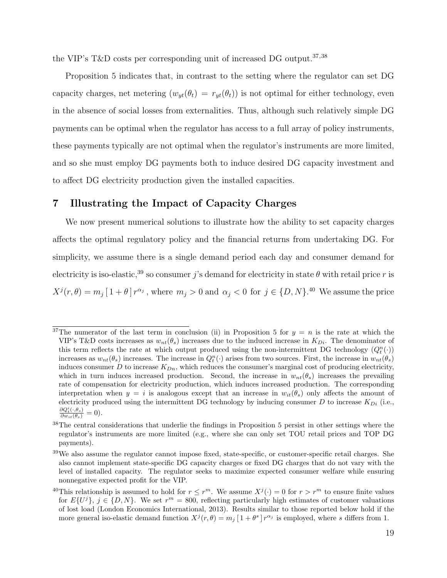the VIP's T&D costs per corresponding unit of increased DG output.<sup>37</sup>,<sup>38</sup>

Proposition 5 indicates that, in contrast to the setting where the regulator can set DG capacity charges, net metering  $(w_{yt}(\theta_t) = r_{yt}(\theta_t))$  is not optimal for either technology, even in the absence of social losses from externalities. Thus, although such relatively simple DG payments can be optimal when the regulator has access to a full array of policy instruments, these payments typically are not optimal when the regulator's instruments are more limited, and so she must employ DG payments both to induce desired DG capacity investment and to affect DG electricity production given the installed capacities.

# 7 Illustrating the Impact of Capacity Charges

We now present numerical solutions to illustrate how the ability to set capacity charges affects the optimal regulatory policy and the financial returns from undertaking DG. For simplicity, we assume there is a single demand period each day and consumer demand for electricity is iso-elastic,<sup>39</sup> so consumer j's demand for electricity in state  $\theta$  with retail price r is  $X^{j}(r, \theta) = m_{j} [1 + \theta] r^{\alpha_{j}}$ , where  $m_{j} > 0$  and  $\alpha_{j} < 0$  for  $j \in \{D, N\}$ .<sup>40</sup> We assume the price

<sup>&</sup>lt;sup>37</sup>The numerator of the last term in conclusion (ii) in Proposition 5 for  $y = n$  is the rate at which the VIP's T&D costs increases as  $w_{nt}(\theta_s)$  increases due to the induced increase in  $K_{Di}$ . The denominator of this term reflects the rate at which output produced using the non-intermittent DG technology  $(Q_t^n(\cdot))$ increases as  $w_{nt}(\theta_s)$  increases. The increase in  $Q_t^n(\cdot)$  arises from two sources. First, the increase in  $w_{nt}(\theta_s)$ induces consumer D to increase  $K_{Dn}$ , which reduces the consumer's marginal cost of producing electricity, which in turn induces increased production. Second, the increase in  $w_{nt}(\theta_s)$  increases the prevailing rate of compensation for electricity production, which induces increased production. The corresponding interpretation when  $y = i$  is analogous except that an increase in  $w_{it}(\theta_s)$  only affects the amount of electricity produced using the intermittent DG technology by inducing consumer D to increase  $K_{Di}$  (i.e.,  $\frac{\partial Q_t^i(\cdot,\theta_s)}{\partial w_{it}(\theta_s)}=0.$ 

<sup>&</sup>lt;sup>38</sup>The central considerations that underlie the findings in Proposition 5 persist in other settings where the regulator's instruments are more limited (e.g., where she can only set TOU retail prices and TOP DG payments).

<sup>&</sup>lt;sup>39</sup>We also assume the regulator cannot impose fixed, state-specific, or customer-specific retail charges. She also cannot implement state-specific DG capacity charges or fixed DG charges that do not vary with the level of installed capacity. The regulator seeks to maximize expected consumer welfare while ensuring nonnegative expected profit for the VIP.

<sup>&</sup>lt;sup>40</sup>This relationship is assumed to hold for  $r \leq r^m$ . We assume  $X^{j}(\cdot) = 0$  for  $r > r^m$  to ensure finite values for  $E\{U^j\}, j \in \{D, N\}$ . We set  $r^m = 800$ , reflecting particularly high estimates of customer valuations of lost load (London Economics International, 2013). Results similar to those reported below hold if the more general iso-elastic demand function  $X^j(r, \theta) = m_j [1 + \theta^s] r^{\alpha_j}$  is employed, where s differs from 1.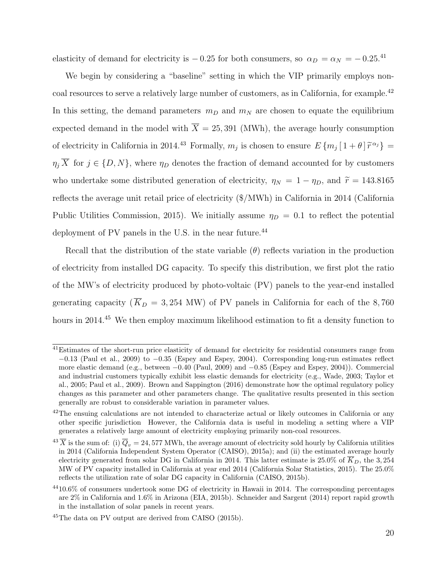elasticity of demand for electricity is  $-0.25$  for both consumers, so  $\alpha_D = \alpha_N = -0.25$ .<sup>41</sup>

We begin by considering a "baseline" setting in which the VIP primarily employs noncoal resources to serve a relatively large number of customers, as in California, for example.<sup>42</sup> In this setting, the demand parameters  $m_D$  and  $m_N$  are chosen to equate the equilibrium expected demand in the model with  $\overline{X} = 25,391$  (MWh), the average hourly consumption of electricity in California in 2014.<sup>43</sup> Formally,  $m_j$  is chosen to ensure  $E\{m_j[1+\theta]\tilde{r}^{\alpha_j}\} =$  $\eta_j \overline{X}$  for  $j \in \{D, N\}$ , where  $\eta_D$  denotes the fraction of demand accounted for by customers who undertake some distributed generation of electricity,  $\eta_N = 1 - \eta_D$ , and  $\tilde{r} = 143.8165$ reflects the average unit retail price of electricity (\$/MWh) in California in 2014 (California Public Utilities Commission, 2015). We initially assume  $\eta_D = 0.1$  to reflect the potential deployment of PV panels in the U.S. in the near future.<sup>44</sup>

Recall that the distribution of the state variable  $(\theta)$  reflects variation in the production of electricity from installed DG capacity. To specify this distribution, we first plot the ratio of the MW's of electricity produced by photo-voltaic (PV) panels to the year-end installed generating capacity ( $\overline{K}_D = 3,254$  MW) of PV panels in California for each of the 8,760 hours in 2014.<sup>45</sup> We then employ maximum likelihood estimation to fit a density function to

<sup>41</sup>Estimates of the short-run price elasticity of demand for electricity for residential consumers range from −0.13 (Paul et al., 2009) to −0.35 (Espey and Espey, 2004). Corresponding long-run estimates reflect more elastic demand (e.g., between −0.40 (Paul, 2009) and −0.85 (Espey and Espey, 2004)). Commercial and industrial customers typically exhibit less elastic demands for electricity (e.g., Wade, 2003; Taylor et al., 2005; Paul et al., 2009). Brown and Sappington (2016) demonstrate how the optimal regulatory policy changes as this parameter and other parameters change. The qualitative results presented in this section generally are robust to considerable variation in parameter values.

<sup>&</sup>lt;sup>42</sup>The ensuing calculations are not intended to characterize actual or likely outcomes in California or any other specific jurisdiction However, the California data is useful in modeling a setting where a VIP generates a relatively large amount of electricity employing primarily non-coal resources.

 $^{43}$  X is the sum of: (i)  $\overline{Q}_v = 24,577$  MWh, the average amount of electricity sold hourly by California utilities in 2014 (California Independent System Operator (CAISO), 2015a); and (ii) the estimated average hourly electricity generated from solar DG in California in 2014. This latter estimate is 25.0% of  $\overline{K}_D$ , the 3, 254 MW of PV capacity installed in California at year end 2014 (California Solar Statistics, 2015). The 25.0% reflects the utilization rate of solar DG capacity in California (CAISO, 2015b).

<sup>44</sup>10.6% of consumers undertook some DG of electricity in Hawaii in 2014. The corresponding percentages are 2% in California and 1.6% in Arizona (EIA, 2015b). Schneider and Sargent (2014) report rapid growth in the installation of solar panels in recent years.

<sup>45</sup>The data on PV output are derived from CAISO (2015b).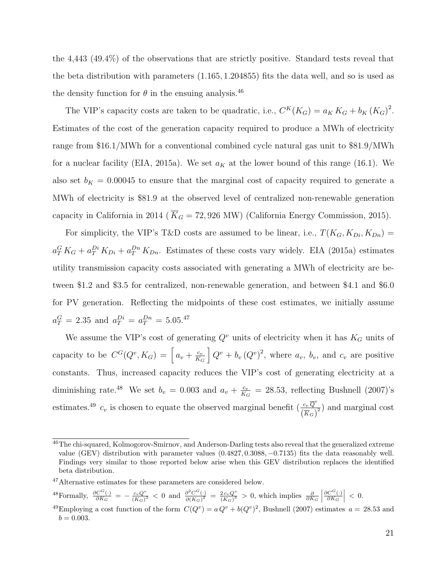the 4,443 (49.4%) of the observations that are strictly positive. Standard tests reveal that the beta distribution with parameters (1.165, 1.204855) fits the data well, and so is used as the density function for  $\theta$  in the ensuing analysis.<sup>46</sup>

The VIP's capacity costs are taken to be quadratic, i.e.,  $C^K(K_G) = a_K K_G + b_K (K_G)^2$ . Estimates of the cost of the generation capacity required to produce a MWh of electricity range from \$16.1/MWh for a conventional combined cycle natural gas unit to \$81.9/MWh for a nuclear facility (EIA, 2015a). We set  $a<sub>K</sub>$  at the lower bound of this range (16.1). We also set  $b_K = 0.00045$  to ensure that the marginal cost of capacity required to generate a MWh of electricity is \$81.9 at the observed level of centralized non-renewable generation capacity in California in 2014 ( $\overline{K}_G = 72,926$  MW) (California Energy Commission, 2015).

For simplicity, the VIP's T&D costs are assumed to be linear, i.e.,  $T(K_G, K_{Di}, K_{Dn}) =$  $a_T^G K_G + a_T^{Di} K_{Di} + a_T^{Dn} K_{Dn}$ . Estimates of these costs vary widely. EIA (2015a) estimates utility transmission capacity costs associated with generating a MWh of electricity are between \$1.2 and \$3.5 for centralized, non-renewable generation, and between \$4.1 and \$6.0 for PV generation. Reflecting the midpoints of these cost estimates, we initially assume  $a_T^G = 2.35$  and  $a_T^{Di} = a_T^{Dn} = 5.05.^{47}$ 

We assume the VIP's cost of generating  $Q^v$  units of electricity when it has  $K_G$  units of capacity to be  $C^G(Q^v, K_G) = \left[ a_v + \frac{c_v}{K_G} \right]$  $K_G$  $\left[ Q^{v}+b_{v}\left( Q^{v}\right) ^{2}\right]$ , where  $a_{v}$ ,  $b_{v}$ , and  $c_{v}$  are positive constants. Thus, increased capacity reduces the VIP's cost of generating electricity at a diminishing rate.<sup>48</sup> We set  $b_v = 0.003$  and  $a_v + \frac{c_v}{K}$  $\frac{c_v}{K_G}$  = 28.53, reflecting Bushnell (2007)'s estimates.<sup>49</sup>  $c_v$  is chosen to equate the observed marginal benefit  $\left(\frac{c_v \overline{Q}^v}{\sqrt{K_v}}\right)$  $\frac{c_v Q}{(\overline{K}_G)^2}$  and marginal cost

<sup>48</sup>Formally,  $\frac{\partial C^{G}(\cdot)}{\partial K_G} = -\frac{c_v Q^v}{(K_G)^2}$  $\frac{c_v Q^v}{(K_G)^2}$  < 0 and  $\frac{\partial^2 C^G(\cdot)}{\partial (K_G)^2}$  $\frac{\partial^2 C^G(\cdot)}{\partial (K_G)^2} = \frac{2 c_v Q^v}{(K_G)^3}$  $\frac{2 c_v Q^v}{(K_G)^3} > 0$ , which implies  $\frac{\partial}{\partial K_G}$  $\partial C^G(\cdot)$  $\frac{C^G(\cdot)}{\partial K_G}\bigg| < 0.$ 

<sup>&</sup>lt;sup>46</sup>The chi-squared, Kolmogorov-Smirnov, and Anderson-Darling tests also reveal that the generalized extreme value (GEV) distribution with parameter values (0.4827, 0.3088, −0.7135) fits the data reasonably well. Findings very similar to those reported below arise when this GEV distribution replaces the identified beta distribution.

<sup>&</sup>lt;sup>47</sup>Alternative estimates for these parameters are considered below.

<sup>&</sup>lt;sup>49</sup>Employing a cost function of the form  $C(Q^v) = aQ^v + b(Q^v)^2$ , Bushnell (2007) estimates  $a = 28.53$  and  $b = 0.003$ .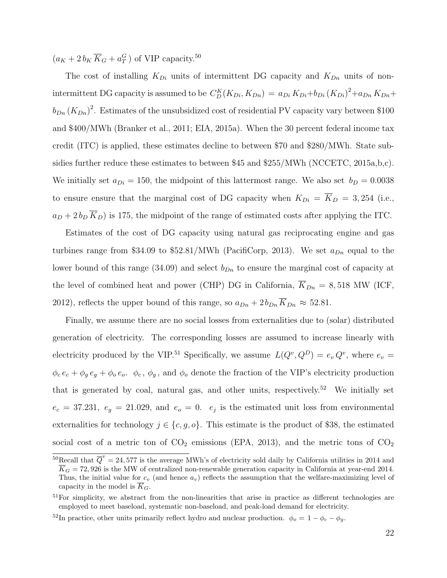$(a_K + 2 b_K \overline{K}_G + a_T^G)$  of VIP capacity.<sup>50</sup>

The cost of installing  $K_{Di}$  units of intermittent DG capacity and  $K_{Dn}$  units of nonintermittent DG capacity is assumed to be  $C_{D}^{K}(K_{Di}, K_{Dn}) = a_{Di} K_{Di} + b_{Di} (K_{Di})^2 + a_{Dn} K_{Dn} +$  $b_{Dn} (K_{Dn})^2$ . Estimates of the unsubsidized cost of residential PV capacity vary between \$100 and \$400/MWh (Branker et al., 2011; EIA, 2015a). When the 30 percent federal income tax credit (ITC) is applied, these estimates decline to between \$70 and \$280/MWh. State subsidies further reduce these estimates to between \$45 and \$255/MWh (NCCETC, 2015a,b,c). We initially set  $a_{Di} = 150$ , the midpoint of this lattermost range. We also set  $b_D = 0.0038$ to ensure ensure that the marginal cost of DG capacity when  $K_{Di} = \overline{K}_D = 3,254$  (i.e.,  $a_D + 2 b_D \overline{K}_D$  is 175, the midpoint of the range of estimated costs after applying the ITC.

Estimates of the cost of DG capacity using natural gas reciprocating engine and gas turbines range from \$34.09 to \$52.81/MWh (PacifiCorp, 2013). We set  $a_{Dn}$  equal to the lower bound of this range (34.09) and select  $b_{Dn}$  to ensure the marginal cost of capacity at the level of combined heat and power (CHP) DG in California,  $\overline{K}_{Dn} = 8,518$  MW (ICF, 2012), reflects the upper bound of this range, so  $a_{Dn} + 2b_{Dn} \overline{K}_{Dn} \approx 52.81$ .

Finally, we assume there are no social losses from externalities due to (solar) distributed generation of electricity. The corresponding losses are assumed to increase linearly with electricity produced by the VIP.<sup>51</sup> Specifically, we assume  $L(Q^v, Q^D) = e_v Q^v$ , where  $e_v =$  $\phi_c e_c + \phi_g e_g + \phi_o e_o$ .  $\phi_c$ ,  $\phi_g$ , and  $\phi_o$  denote the fraction of the VIP's electricity production that is generated by coal, natural gas, and other units, respectively.<sup>52</sup> We initially set  $e_c = 37.231, e_g = 21.029,$  and  $e_o = 0.$   $e_j$  is the estimated unit loss from environmental externalities for technology  $j \in \{c, g, o\}$ . This estimate is the product of \$38, the estimated social cost of a metric ton of  $CO_2$  emissions (EPA, 2013), and the metric tons of  $CO_2$ 

<sup>&</sup>lt;sup>50</sup>Recall that  $\overline{Q}^v = 24,577$  is the average MWh's of electricity sold daily by California utilities in 2014 and  $\overline{K}_G = 72,926$  is the MW of centralized non-renewable generation capacity in California at year-end 2014.

Thus, the initial value for  $c_v$  (and hence  $a_v$ ) reflects the assumption that the welfare-maximizing level of capacity in the model is  $\overline{K}_G$ .

<sup>&</sup>lt;sup>51</sup>For simplicity, we abstract from the non-linearities that arise in practice as different technologies are employed to meet baseload, systematic non-baseload, and peak-load demand for electricity.

<sup>&</sup>lt;sup>52</sup>In practice, other units primarily reflect hydro and nuclear production.  $\phi_o = 1 - \phi_c - \phi_g$ .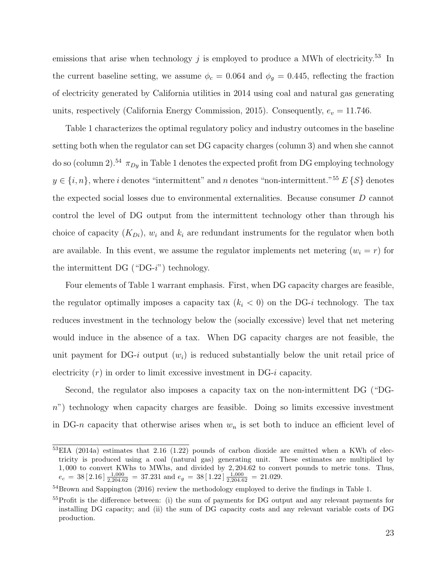emissions that arise when technology j is employed to produce a MWh of electricity.<sup>53</sup> In the current baseline setting, we assume  $\phi_c = 0.064$  and  $\phi_g = 0.445$ , reflecting the fraction of electricity generated by California utilities in 2014 using coal and natural gas generating units, respectively (California Energy Commission, 2015). Consequently,  $e_v = 11.746$ .

Table 1 characterizes the optimal regulatory policy and industry outcomes in the baseline setting both when the regulator can set DG capacity charges (column 3) and when she cannot do so (column 2).<sup>54</sup>  $\pi_{D_y}$  in Table 1 denotes the expected profit from DG employing technology  $y \in \{i, n\}$ , where i denotes "intermittent" and n denotes "non-intermittent."<sup>55</sup> E  $\{S\}$  denotes the expected social losses due to environmental externalities. Because consumer D cannot control the level of DG output from the intermittent technology other than through his choice of capacity  $(K_{Di})$ ,  $w_i$  and  $k_i$  are redundant instruments for the regulator when both are available. In this event, we assume the regulator implements net metering  $(w<sub>i</sub> = r)$  for the intermittent DG ("DG- $i$ ") technology.

Four elements of Table 1 warrant emphasis. First, when DG capacity charges are feasible, the regulator optimally imposes a capacity tax  $(k<sub>i</sub> < 0)$  on the DG-i technology. The tax reduces investment in the technology below the (socially excessive) level that net metering would induce in the absence of a tax. When DG capacity charges are not feasible, the unit payment for  $DG-i$  output  $(w_i)$  is reduced substantially below the unit retail price of electricity  $(r)$  in order to limit excessive investment in DG-i capacity.

Second, the regulator also imposes a capacity tax on the non-intermittent DG ("DG $n$ ") technology when capacity charges are feasible. Doing so limits excessive investment in DG-n capacity that otherwise arises when  $w_n$  is set both to induce an efficient level of

 $53EIA$  (2014a) estimates that 2.16 (1.22) pounds of carbon dioxide are emitted when a KWh of electricity is produced using a coal (natural gas) generating unit. These estimates are multiplied by 1, 000 to convert KWhs to MWhs, and divided by 2, 204.62 to convert pounds to metric tons. Thus,  $e_c = 38 [2.16] \frac{1,000}{2,204.62} = 37.231$  and  $e_g = 38 [1.22] \frac{1,000}{2,204.62} = 21.029$ .

 $54$ Brown and Sappington (2016) review the methodology employed to derive the findings in Table 1.

<sup>&</sup>lt;sup>55</sup>Profit is the difference between: (i) the sum of payments for DG output and any relevant payments for installing DG capacity; and (ii) the sum of DG capacity costs and any relevant variable costs of DG production.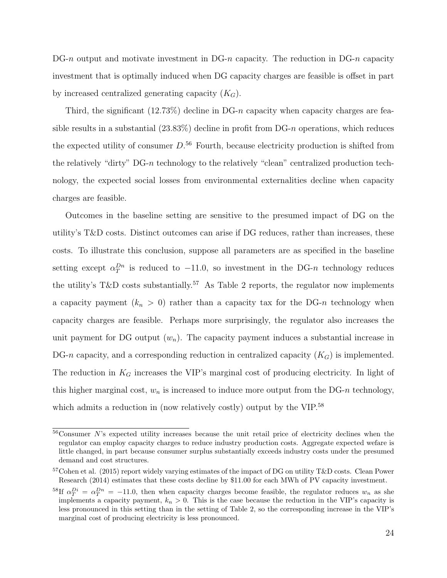$DG-n$  output and motivate investment in  $DG-n$  capacity. The reduction in  $DG-n$  capacity investment that is optimally induced when DG capacity charges are feasible is offset in part by increased centralized generating capacity  $(K_G)$ .

Third, the significant (12.73%) decline in DG-n capacity when capacity charges are feasible results in a substantial  $(23.83\%)$  decline in profit from DG-n operations, which reduces the expected utility of consumer  $D<sup>56</sup>$  Fourth, because electricity production is shifted from the relatively "dirty"  $DG-n$  technology to the relatively "clean" centralized production technology, the expected social losses from environmental externalities decline when capacity charges are feasible.

Outcomes in the baseline setting are sensitive to the presumed impact of DG on the utility's T&D costs. Distinct outcomes can arise if DG reduces, rather than increases, these costs. To illustrate this conclusion, suppose all parameters are as specified in the baseline setting except  $\alpha_T^{Dn}$  is reduced to -11.0, so investment in the DG-n technology reduces the utility's T&D costs substantially.<sup>57</sup> As Table 2 reports, the regulator now implements a capacity payment  $(k_n > 0)$  rather than a capacity tax for the DG-n technology when capacity charges are feasible. Perhaps more surprisingly, the regulator also increases the unit payment for DG output  $(w_n)$ . The capacity payment induces a substantial increase in DG-n capacity, and a corresponding reduction in centralized capacity  $(K_G)$  is implemented. The reduction in  $K_G$  increases the VIP's marginal cost of producing electricity. In light of this higher marginal cost,  $w_n$  is increased to induce more output from the DG-n technology, which admits a reduction in (now relatively costly) output by the VIP.<sup>58</sup>

 $56$ Consumer N's expected utility increases because the unit retail price of electricity declines when the regulator can employ capacity charges to reduce industry production costs. Aggregate expected wefare is little changed, in part because consumer surplus substantially exceeds industry costs under the presumed demand and cost structures.

 $57$ Cohen et al. (2015) report widely varying estimates of the impact of DG on utility T&D costs. Clean Power Research (2014) estimates that these costs decline by \$11.00 for each MWh of PV capacity investment.

<sup>&</sup>lt;sup>58</sup>If  $\alpha_T^{Di} = \alpha_T^{Dn} = -11.0$ , then when capacity charges become feasible, the regulator reduces  $w_n$  as she implements a capacity payment,  $k_n > 0$ . This is the case because the reduction in the VIP's capacity is less pronounced in this setting than in the setting of Table 2, so the corresponding increase in the VIP's marginal cost of producing electricity is less pronounced.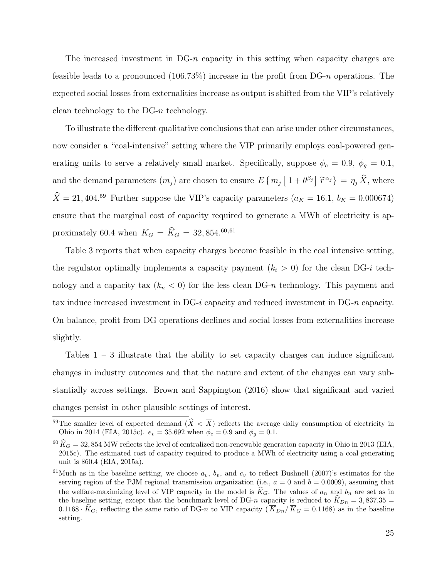The increased investment in  $DG-n$  capacity in this setting when capacity charges are feasible leads to a pronounced  $(106.73\%)$  increase in the profit from DG-n operations. The expected social losses from externalities increase as output is shifted from the VIP's relatively clean technology to the DG- $n$  technology.

To illustrate the different qualitative conclusions that can arise under other circumstances, now consider a "coal-intensive" setting where the VIP primarily employs coal-powered generating units to serve a relatively small market. Specifically, suppose  $\phi_c = 0.9$ ,  $\phi_g = 0.1$ , and the demand parameters  $(m_j)$  are chosen to ensure  $E\{m_j [1 + \theta^{\beta_j}] \tilde{r}^{\alpha_j}\} = \eta_j \tilde{X}$ , where  $\widehat{X} = 21, 404.59$  Further suppose the VIP's capacity parameters  $(a_K = 16.1, b_K = 0.000674)$ ensure that the marginal cost of capacity required to generate a MWh of electricity is approximately 60.4 when  $K_G = \hat{K}_G = 32,854.60,61$ 

Table 3 reports that when capacity charges become feasible in the coal intensive setting, the regulator optimally implements a capacity payment  $(k<sub>i</sub> > 0)$  for the clean DG-i technology and a capacity tax  $(k_n < 0)$  for the less clean DG-n technology. This payment and tax induce increased investment in DG-i capacity and reduced investment in DG-n capacity. On balance, profit from DG operations declines and social losses from externalities increase slightly.

Tables  $1 - 3$  illustrate that the ability to set capacity charges can induce significant changes in industry outcomes and that the nature and extent of the changes can vary substantially across settings. Brown and Sappington (2016) show that significant and varied changes persist in other plausible settings of interest.

<sup>&</sup>lt;sup>59</sup>The smaller level of expected demand  $(\hat{X} < \overline{X})$  reflects the average daily consumption of electricity in Ohio in 2014 (EIA, 2015c).  $e_v = 35.692$  when  $\phi_c = 0.9$  and  $\phi_g = 0.1$ .

 $^{60}$   $\hat{K}_G = 32,854$  MW reflects the level of centralized non-renewable generation capacity in Ohio in 2013 (EIA, 2015c). The estimated cost of capacity required to produce a MWh of electricity using a coal generating unit is \$60.4 (EIA, 2015a).

<sup>&</sup>lt;sup>61</sup>Much as in the baseline setting, we choose  $a_v$ ,  $b_v$ , and  $c_v$  to reflect Bushnell (2007)'s estimates for the serving region of the PJM regional transmission organization (i.e.,  $a = 0$  and  $b = 0.0009$ ), assuming that the welfare-maximizing level of VIP capacity in the model is  $K<sub>G</sub>$ . The values of  $a_n$  and  $b_n$  are set as in the baseline setting, except that the benchmark level of DG-n capacity is reduced to  $K_{Dn} = 3,837.35 =$ 0.1168  $\cdot$   $\hat{K}_G$ , reflecting the same ratio of DG-n to VIP capacity ( $\overline{K}_{Dn}/\overline{K}_G = 0.1168$ ) as in the baseline setting.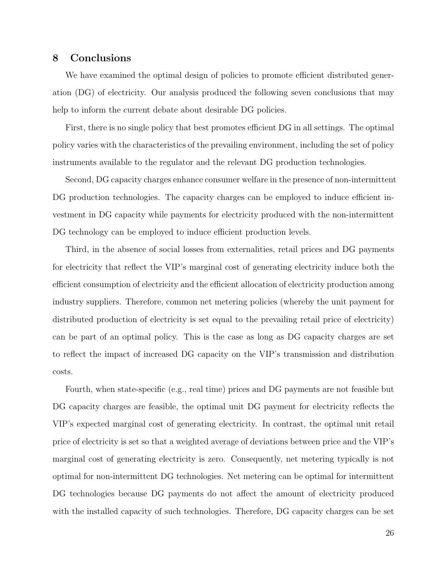### 8 Conclusions

We have examined the optimal design of policies to promote efficient distributed generation (DG) of electricity. Our analysis produced the following seven conclusions that may help to inform the current debate about desirable DG policies.

First, there is no single policy that best promotes efficient DG in all settings. The optimal policy varies with the characteristics of the prevailing environment, including the set of policy instruments available to the regulator and the relevant DG production technologies.

Second, DG capacity charges enhance consumer welfare in the presence of non-intermittent DG production technologies. The capacity charges can be employed to induce efficient investment in DG capacity while payments for electricity produced with the non-intermittent DG technology can be employed to induce efficient production levels.

Third, in the absence of social losses from externalities, retail prices and DG payments for electricity that reflect the VIP's marginal cost of generating electricity induce both the efficient consumption of electricity and the efficient allocation of electricity production among industry suppliers. Therefore, common net metering policies (whereby the unit payment for distributed production of electricity is set equal to the prevailing retail price of electricity) can be part of an optimal policy. This is the case as long as DG capacity charges are set to reflect the impact of increased DG capacity on the VIP's transmission and distribution costs.

Fourth, when state-specific (e.g., real time) prices and DG payments are not feasible but DG capacity charges are feasible, the optimal unit DG payment for electricity reflects the VIP's expected marginal cost of generating electricity. In contrast, the optimal unit retail price of electricity is set so that a weighted average of deviations between price and the VIP's marginal cost of generating electricity is zero. Consequently, net metering typically is not optimal for non-intermittent DG technologies. Net metering can be optimal for intermittent DG technologies because DG payments do not affect the amount of electricity produced with the installed capacity of such technologies. Therefore, DG capacity charges can be set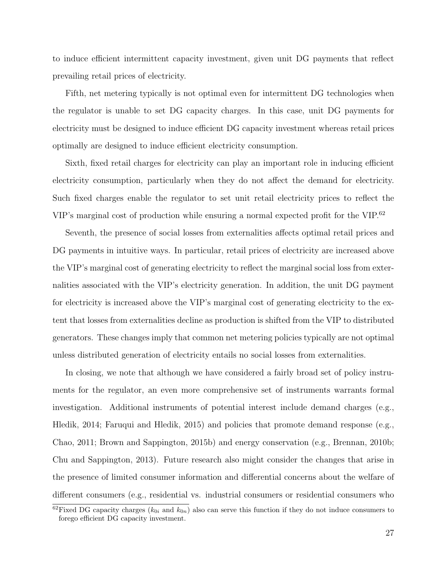to induce efficient intermittent capacity investment, given unit DG payments that reflect prevailing retail prices of electricity.

Fifth, net metering typically is not optimal even for intermittent DG technologies when the regulator is unable to set DG capacity charges. In this case, unit DG payments for electricity must be designed to induce efficient DG capacity investment whereas retail prices optimally are designed to induce efficient electricity consumption.

Sixth, fixed retail charges for electricity can play an important role in inducing efficient electricity consumption, particularly when they do not affect the demand for electricity. Such fixed charges enable the regulator to set unit retail electricity prices to reflect the VIP's marginal cost of production while ensuring a normal expected profit for the VIP.<sup>62</sup>

Seventh, the presence of social losses from externalities affects optimal retail prices and DG payments in intuitive ways. In particular, retail prices of electricity are increased above the VIP's marginal cost of generating electricity to reflect the marginal social loss from externalities associated with the VIP's electricity generation. In addition, the unit DG payment for electricity is increased above the VIP's marginal cost of generating electricity to the extent that losses from externalities decline as production is shifted from the VIP to distributed generators. These changes imply that common net metering policies typically are not optimal unless distributed generation of electricity entails no social losses from externalities.

In closing, we note that although we have considered a fairly broad set of policy instruments for the regulator, an even more comprehensive set of instruments warrants formal investigation. Additional instruments of potential interest include demand charges (e.g., Hledik, 2014; Faruqui and Hledik, 2015) and policies that promote demand response (e.g., Chao, 2011; Brown and Sappington, 2015b) and energy conservation (e.g., Brennan, 2010b; Chu and Sappington, 2013). Future research also might consider the changes that arise in the presence of limited consumer information and differential concerns about the welfare of different consumers (e.g., residential vs. industrial consumers or residential consumers who

<sup>&</sup>lt;sup>62</sup>Fixed DG capacity charges ( $k_{0i}$  and  $k_{0n}$ ) also can serve this function if they do not induce consumers to forego efficient DG capacity investment.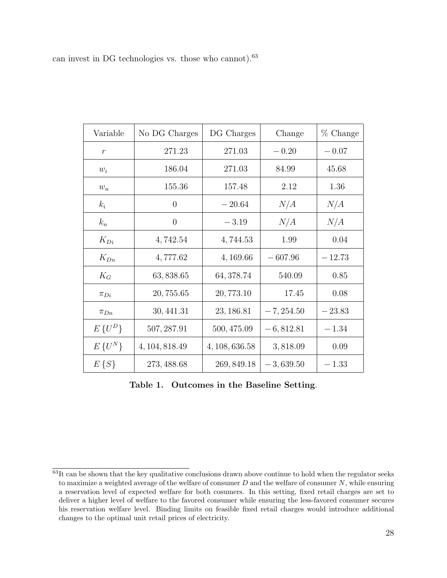| Variable                | No DG Charges  | DG Charges     | Change      | $%$ Change |
|-------------------------|----------------|----------------|-------------|------------|
| $\mathcal{r}$           | 271.23         | 271.03         | $-0.20$     | $-0.07$    |
| $w_i$                   | 186.04         | 271.03         | 84.99       | 45.68      |
| $w_n$                   | 155.36         | 157.48         | 2.12        | 1.36       |
| $k_i$                   | $\theta$       | $-20.64$       | N/A         | N/A        |
| $k_n$                   | $\overline{0}$ | $-3.19$        | N/A         | N/A        |
| $K_{Di}$                | 4,742.54       | 4,744.53       | 1.99        | 0.04       |
| $K_{Dn}$                | 4,777.62       | 4,169.66       | $-607.96$   | $-12.73$   |
| $K_G$                   | 63, 838.65     | 64, 378.74     | 540.09      | 0.85       |
| $\pi_{Di}$              | 20,755.65      | 20, 773.10     | 17.45       | 0.08       |
| $\pi_{Dn}$              | 30, 441.31     | 23, 186.81     | $-7,254.50$ | $-23.83$   |
| $E\left\{U^D\right\}$   | 507, 287.91    | 500, 475.09    | $-6,812.81$ | $-1.34$    |
| $E\left\{U^{N}\right\}$ | 4, 104, 818.49 | 4, 108, 636.58 | 3,818.09    | 0.09       |
| $E\{S\}$                | 273, 488.68    | 269, 849.18    | $-3,639.50$ | $-1.33$    |

can invest in DG technologies vs. those who cannot).<sup>63</sup>

Table 1. Outcomes in the Baseline Setting.

 $63$ It can be shown that the key qualitative conclusions drawn above continue to hold when the regulator seeks to maximize a weighted average of the welfare of consumer  $D$  and the welfare of consumer  $N$ , while ensuring a reservation level of expected welfare for both cosumers. In this setting, fixed retail charges are set to deliver a higher level of welfare to the favored consumer while ensuring the less-favored consumer secures his reservation welfare level. Binding limits on feasible fixed retail charges would introduce additional changes to the optimal unit retail prices of electricity.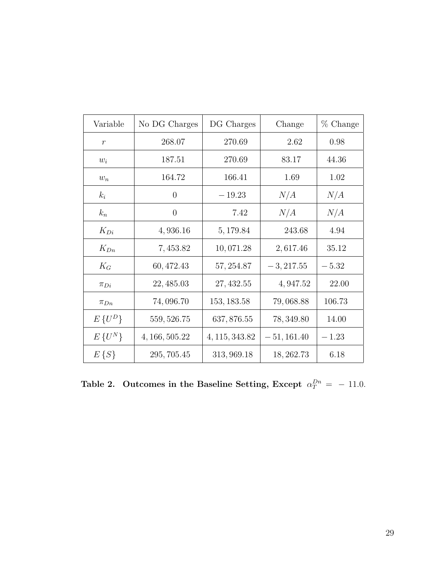| Variable                 | No DG Charges  | DG Charges     | Change       | $%$ Change |
|--------------------------|----------------|----------------|--------------|------------|
| $\boldsymbol{r}$         | 268.07         | 270.69         | 2.62         | 0.98       |
| $w_i$                    | 187.51         | 270.69         | 83.17        | 44.36      |
| $w_n$                    | 164.72         | 166.41         | 1.69         | 1.02       |
| $k_i$                    | $\overline{0}$ | $-19.23$       | N/A          | N/A        |
| $k_n$                    | $\overline{0}$ | 7.42           | N/A          | N/A        |
| $K_{Di}$                 | 4,936.16       | 5, 179.84      | 243.68       | 4.94       |
| $K_{Dn}$                 | 7,453.82       | 10,071.28      | 2,617.46     | 35.12      |
| $K_G$                    | 60, 472.43     | 57, 254.87     | $-3,217.55$  | $-5.32$    |
| $\pi_{Di}$               | 22, 485.03     | 27, 432.55     | 4,947.52     | 22.00      |
| $\pi_{Dn}$               | 74,096.70      | 153, 183.58    | 79,068.88    | 106.73     |
| $E\left\{U^D\right\}$    | 559, 526.75    | 637, 876.55    | 78, 349.80   | 14.00      |
| $E\left\{ U^{N}\right\}$ | 4, 166, 505.22 | 4, 115, 343.82 | $-51,161.40$ | $-1.23$    |
| $E\{S\}$                 | 295, 705.45    | 313, 969.18    | 18, 262.73   | 6.18       |

Table 2. Outcomes in the Baseline Setting, Except  $\alpha_T^{Dn} = -11.0$ .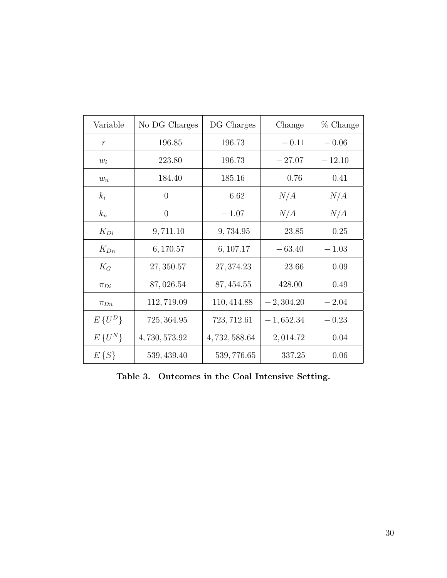| Variable                 | No DG Charges  | DG Charges   | Change      | % Change |
|--------------------------|----------------|--------------|-------------|----------|
| $\mathcal{r}$            | 196.85         | 196.73       | $-0.11$     | $-0.06$  |
| $w_i$                    | 223.80         | 196.73       | $-27.07$    | $-12.10$ |
| $w_n$                    | 184.40         | 185.16       | 0.76        | 0.41     |
| $k_i$                    | $\theta$       | 6.62         | N/A         | N/A      |
| $k_n$                    | $\overline{0}$ | $-1.07$      | N/A         | N/A      |
| $K_{Di}$                 | 9,711.10       | 9,734.95     | 23.85       | 0.25     |
| $K_{Dn}$                 | 6,170.57       | 6, 107.17    | $-63.40$    | $-1.03$  |
| $K_G$                    | 27, 350.57     | 27, 374.23   | 23.66       | 0.09     |
| $\pi_{Di}$               | 87,026.54      | 87, 454.55   | 428.00      | 0.49     |
| $\pi_{Dn}$               | 112, 719.09    | 110, 414.88  | $-2,304.20$ | $-2.04$  |
| $E\left\{U^D\right\}$    | 725, 364.95    | 723, 712.61  | $-1,652.34$ | $-0.23$  |
| $E\left\{ U^{N}\right\}$ | 4,730,573.92   | 4,732,588.64 | 2,014.72    | 0.04     |
| $E\{S\}$                 | 539, 439.40    | 539, 776.65  | 337.25      | 0.06     |

Table 3. Outcomes in the Coal Intensive Setting.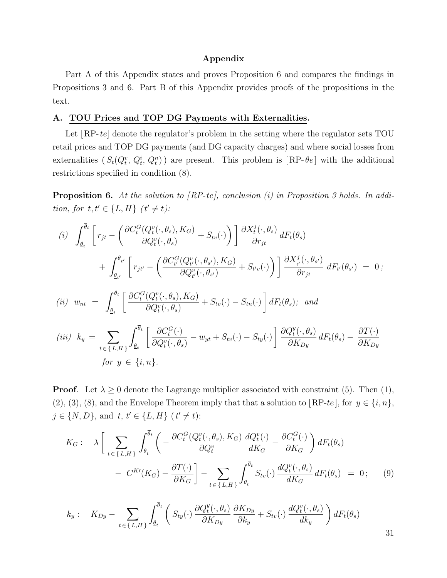#### Appendix

Part A of this Appendix states and proves Proposition 6 and compares the findings in Propositions 3 and 6. Part B of this Appendix provides proofs of the propositions in the text.

#### A. TOU Prices and TOP DG Payments with Externalities.

Let  $[RP-te]$  denote the regulator's problem in the setting where the regulator sets TOU retail prices and TOP DG payments (and DG capacity charges) and where social losses from externalities  $(S_t(Q_t^v, Q_t^i, Q_t^n))$  are present. This problem is [RP- $\theta e$ ] with the additional restrictions specified in condition (8).

**Proposition 6.** At the solution to  $[RP-te]$ , conclusion (i) in Proposition 3 holds. In addition, for  $t, t' \in \{L, H\}$   $(t' \neq t)$ :

(i) 
$$
\int_{\theta_t}^{\overline{\theta}_t} \left[ r_{jt} - \left( \frac{\partial C_t^G(Q_t^v(\cdot, \theta_s), K_G)}{\partial Q_t^v(\cdot, \theta_s)} + S_{tv}(\cdot) \right) \right] \frac{\partial X_t^j(\cdot, \theta_s)}{\partial r_{jt}} dF_t(\theta_s)
$$

$$
+ \int_{\theta_{t'}}^{\overline{\theta}_{t'}} \left[ r_{jt'} - \left( \frac{\partial C_t^G(Q_t^v(\cdot, \theta_{s'}), K_G)}{\partial Q_t^v(\cdot, \theta_{s'})} + S_{t'v}(\cdot) \right) \right] \frac{\partial X_{t'}^j(\cdot, \theta_{s'})}{\partial r_{jt}} dF_{t'}(\theta_{s'}) = 0 ;
$$
  
(ii) 
$$
w_{nt} = \int_{\theta_t}^{\overline{\theta}_t} \left[ \frac{\partial C_t^G(Q_t^v(\cdot, \theta_s), K_G)}{\partial Q_t^v(\cdot, \theta_s)} + S_{tv}(\cdot) - S_{tn}(\cdot) \right] dF_t(\theta_s); \text{ and}
$$
  
(iii) 
$$
k_y = \sum_{t \in \{L, H\}} \int_{\theta_t}^{\overline{\theta}_t} \left[ \frac{\partial C_t^G(\cdot)}{\partial Q_t^v(\cdot, \theta_s)} - w_{yt} + S_{tv}(\cdot) - S_{ty}(\cdot) \right] \frac{\partial Q_t^y(\cdot, \theta_s)}{\partial K_{Dy}} dF_t(\theta_s) - \frac{\partial T(\cdot)}{\partial K_{Dy}}
$$
  
for  $y \in \{i, n\}.$ 

**Proof.** Let  $\lambda \geq 0$  denote the Lagrange multiplier associated with constraint (5). Then (1),  $(2), (3), (8),$  and the Envelope Theorem imply that that a solution to [RP-te], for  $y \in \{i, n\}$ ,  $j \in \{N, D\}$ , and  $t, t' \in \{L, H\}$  ( $t' \neq t$ ):

$$
K_G: \quad \lambda \left[ \sum_{t \in \{L, H\}} \int_{\theta_t}^{\overline{\theta}_t} \left( -\frac{\partial C_t^G(Q_t^v(\cdot, \theta_s), K_G)}{\partial Q_t^v} \frac{dQ_t^v(\cdot)}{dK_G} - \frac{\partial C_t^G(\cdot)}{\partial K_G} \right) dF_t(\theta_s) - C^{K'}(K_G) - \frac{\partial T(\cdot)}{\partial K_G} \right] - \sum_{t \in \{L, H\}} \int_{\theta_t}^{\overline{\theta}_t} S_{tv}(\cdot) \frac{dQ_t^v(\cdot, \theta_s)}{dK_G} dF_t(\theta_s) = 0; \quad (9)
$$

$$
k_y: K_{Dy} - \sum_{t \in \{L, H\}} \int_{\underline{\theta}_t}^{\overline{\theta}_t} \left( S_{ty}(\cdot) \frac{\partial Q_t^y(\cdot, \theta_s)}{\partial K_{Dy}} \frac{\partial K_{Dy}}{\partial k_y} + S_{tv}(\cdot) \frac{dQ_t^v(\cdot, \theta_s)}{dk_y} \right) dF_t(\theta_s)
$$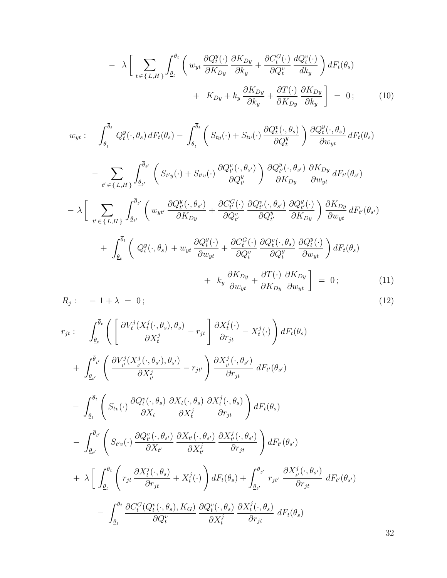$$
- \lambda \left[ \sum_{t \in \{L, H\}} \int_{\underline{\theta}_t}^{\overline{\theta}_t} \left( w_{yt} \frac{\partial Q_t^y(\cdot)}{\partial K_{Dy}} \frac{\partial K_{Dy}}{\partial k_y} + \frac{\partial C_t^G(\cdot)}{\partial Q_t^v} \frac{dQ_t^v(\cdot)}{dk_y} \right) dF_t(\theta_s) + K_{Dy} + k_y \frac{\partial K_{Dy}}{\partial k_y} + \frac{\partial T(\cdot)}{\partial K_{Dy}} \frac{\partial K_{Dy}}{\partial k_y} \right] = 0; \quad (10)
$$

$$
w_{yt}: \int_{\theta_t}^{\overline{\theta}_t} Q_t^y(\cdot,\theta_s) dF_t(\theta_s) - \int_{\theta_t}^{\overline{\theta}_t} \left( S_{ty}(\cdot) + S_{tv}(\cdot) \frac{\partial Q_t^v(\cdot,\theta_s)}{\partial Q_t^y} \right) \frac{\partial Q_t^y(\cdot,\theta_s)}{\partial w_{yt}} dF_t(\theta_s)
$$

$$
- \sum_{t' \in \{L,H\}} \int_{\theta_{t'}}^{\overline{\theta}_{t'}} \left( S_{t'y}(\cdot) + S_{t'v}(\cdot) \frac{\partial Q_t^v(\cdot,\theta_{s'})}{\partial Q_{t'}^y} \right) \frac{\partial Q_{t'}^y(\cdot,\theta_{s'})}{\partial K_{Dy}} \frac{\partial K_{Dy}}{\partial w_{yt}} dF_{t'}(\theta_{s'})
$$

$$
- \lambda \left[ \sum_{t' \in \{L,H\}} \int_{\theta_{t'}}^{\overline{\theta}_{t'}} \left( w_{yt'} \frac{\partial Q_{t'}^y(\cdot,\theta_{s'})}{\partial K_{Dy}} + \frac{\partial C_{t'}^G(\cdot)}{\partial Q_{t'}^v} \frac{\partial Q_{t'}^v(\cdot,\theta_{s'})}{\partial Q_{t'}^y} \frac{\partial Q_{t'}^y(\cdot)}{\partial K_{Dy}} \right) \frac{\partial K_{Dy}}{\partial w_{yt}} dF_{t'}(\theta_{s'})
$$

$$
+ \int_{\theta_t}^{\overline{\theta}_t} \left( Q_t^y(\cdot,\theta_s) + w_{yt} \frac{\partial Q_t^y(\cdot)}{\partial w_{yt}} + \frac{\partial C_t^G(\cdot)}{\partial Q_t^v} \frac{\partial Q_t^v(\cdot,\theta_s)}{\partial Q_t^y} \frac{\partial Q_t^y(\cdot)}{\partial w_{yt}} \right) dF_t(\theta_s)
$$

$$
+ k_y \frac{\partial K_{Dy}}{\partial w_{yt}} + \frac{\partial T(\cdot)}{\partial K_{Dy}} \frac{\partial K_{Dy}}{\partial w_{yt}} \right] = 0;
$$
(11)

$$
R_j: \quad -1 + \lambda = 0;
$$
\n
$$
\int_{\overline{\theta}_t} \int \left[ \frac{\partial V_t^j(X_t^j(\cdot, \theta_s), \theta_s)}{\partial X_t^j(\cdot)} \right] \frac{\partial X_t^j(\cdot)}{\partial X_t^j(\cdot)} \frac{\partial V_t^j(\cdot)}{\partial X_t^j(\cdot)} \frac{\partial V_t^j(\cdot)}{\partial X_t^j(\cdot)} \frac{\partial V_t^j(\cdot)}{\partial X_t^j(\cdot)} \frac{\partial V_t^j(\cdot)}{\partial X_t^j(\cdot)} \frac{\partial V_t^j(\cdot)}{\partial X_t^j(\cdot)} \frac{\partial V_t^j(\cdot)}{\partial X_t^j(\cdot)} \frac{\partial V_t^j(\cdot)}{\partial X_t^j(\cdot)} \frac{\partial V_t^j(\cdot)}{\partial X_t^j(\cdot)} \frac{\partial V_t^j(\cdot)}{\partial X_t^j(\cdot)} \frac{\partial V_t^j(\cdot)}{\partial X_t^j(\cdot)} \frac{\partial V_t^j(\cdot)}{\partial X_t^j(\cdot)} \frac{\partial V_t^j(\cdot)}{\partial X_t^j(\cdot)} \frac{\partial V_t^j(\cdot)}{\partial X_t^j(\cdot)} \frac{\partial V_t^j(\cdot)}{\partial X_t^j(\cdot)} \frac{\partial V_t^j(\cdot)}{\partial X_t^j(\cdot)} \frac{\partial V_t^j(\cdot)}{\partial X_t^j(\cdot)} \frac{\partial V_t^j(\cdot)}{\partial X_t^j(\cdot)} \frac{\partial V_t^j(\cdot)}{\partial X_t^j(\cdot)} \frac{\partial V_t^j(\cdot)}{\partial X_t^j(\cdot)} \frac{\partial V_t^j(\cdot)}{\partial X_t^j(\cdot)} \frac{\partial V_t^j(\cdot)}{\partial X_t^j(\cdot)} \frac{\partial V_t^j(\cdot)}{\partial X_t^j(\cdot)} \frac{\partial V_t^j(\cdot)}{\partial X_t^j(\cdot)} \frac{\partial V_t^j(\cdot)}{\partial X_t^j(\cdot)} \frac{\partial V_t^j(\cdot)}{\partial X_t^j(\cdot)} \frac{\partial V_t^j(\cdot)}{\partial X_t^j(\cdot)} \frac{\partial V_t^j(\cdot)}{\partial X_t^j(\cdot)} \frac{\partial V_t^j(\cdot)}{\partial X_t^j(\cdot)} \frac{\partial V_t^j(\cdot)}{\partial X_t^j(\cdot)} \frac{\partial V_t^j(\cdot)}{\partial X_t^j(\cdot)} \frac{\partial V_t^j(\cdot)}{\partial X_t^j(\cdot)} \frac{\partial V_t^j(\cdot)}{\partial X_t^j(\cdot)} \frac{\partial V_t^j(\cdot)}{\partial X_t^j(\cdot)} \frac{\partial V_t
$$

$$
r_{jt}: \int_{\theta_{t}}^{\overline{\theta}_{t}} \left( \left[ \frac{\partial V_{t}^{j}(X_{t}^{j}(\cdot,\theta_{s}),\theta_{s})}{\partial X_{t}^{j}} - r_{jt} \right] \frac{\partial X_{t}^{j}(\cdot)}{\partial r_{jt}} - X_{t}^{j}(\cdot) \right) dF_{t}(\theta_{s})
$$
  
+ 
$$
\int_{\theta_{t'}}^{\overline{\theta}_{t'}} \left( \frac{\partial V_{t}^{j}(X_{t}^{j}(\cdot,\theta_{s'},\theta_{s'})}{\partial X_{t}^{j}} - r_{jt'} \right) \frac{\partial X_{t}^{j}(\cdot,\theta_{s'})}{\partial r_{jt}} dF_{t'}(\theta_{s'})
$$
  
- 
$$
\int_{\theta_{t}}^{\overline{\theta}_{t}} \left( S_{tv}(\cdot) \frac{\partial Q_{t}^{v}(\cdot,\theta_{s})}{\partial X_{t}} \frac{\partial X_{t}(\cdot,\theta_{s})}{\partial X_{t}^{j}} \frac{\partial X_{t}^{j}(\cdot,\theta_{s})}{\partial r_{jt}} \right) dF_{t}(\theta_{s})
$$
  
- 
$$
\int_{\theta_{t'}}^{\overline{\theta}_{t'}} \left( S_{t'v}(\cdot) \frac{\partial Q_{t}^{v}(\cdot,\theta_{s'})}{\partial X_{t'}} \frac{\partial X_{t'}(\cdot,\theta_{s'})}{\partial X_{t'}^{j}} \frac{\partial X_{t}^{j}(\cdot,\theta_{s'})}{\partial r_{jt}} \right) dF_{t'}(\theta_{s'})
$$
  
+ 
$$
\lambda \left[ \int_{\theta_{t}}^{\overline{\theta}_{t}} \left( r_{jt} \frac{\partial X_{t}^{j}(\cdot,\theta_{s})}{\partial r_{jt}} + X_{t}^{j}(\cdot) \right) dF_{t}(\theta_{s}) + \int_{\theta_{t'}}^{\overline{\theta}_{t'}} r_{jt'} \frac{\partial X_{t}^{j}(\cdot,\theta_{s'})}{\partial r_{jt}} dF_{t'}(\theta_{s'})
$$
  
- 
$$
\int_{\theta_{t}}^{\overline{\theta}_{t}} \frac{\partial C_{t}^{G}(Q_{t}^{v}(\cdot,\theta_{s}), K_{G})}{\partial Q_{t}^{v}} \frac{\partial Q_{t}^{v}(\cdot,\theta_{s})}{\partial r_{jt}} \frac{\partial X_{t}^{j}(\cdot,\theta_{s})}{\partial r_{jt}} dF_{t}(\theta_{s})
$$

32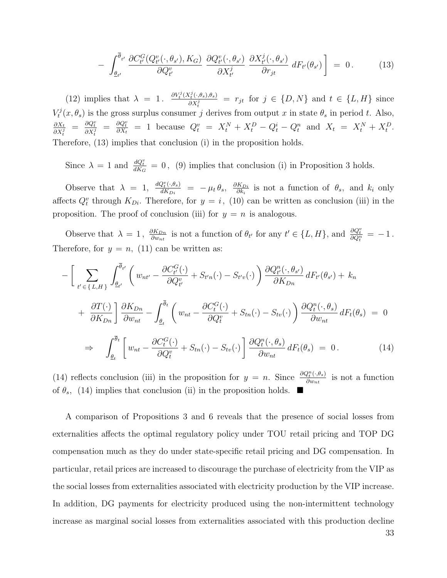$$
- \int_{\underline{\theta}_{t'}}^{\overline{\theta}_{t'}} \frac{\partial C_{t'}^G(Q_{t'}^v(\cdot, \theta_{s'}), K_G)}{\partial Q_{t'}^v} \frac{\partial Q_{t'}^v(\cdot, \theta_{s'})}{\partial X_{t'}^j} \frac{\partial X_{t'}^j(\cdot, \theta_{s'})}{\partial r_{jt}} dF_{t'}(\theta_{s'}) \Big] = 0. \tag{13}
$$

(12) implies that  $\lambda = 1$ .  $\frac{\partial V_t^j(X_t^j(\cdot,\theta_s),\theta_s)}{\partial X_t^j}$  $\frac{\partial \chi_i^{\tau}(\cdot,\theta_s),\theta_s}{\partial \chi_i^j} = r_{jt}$  for  $j \in \{D, N\}$  and  $t \in \{L, H\}$  since  $V_t^j$  $t^{\prime\prime}(x,\theta_s)$  is the gross surplus consumer j derives from output x in state  $\theta_s$  in period t. Also,  $\frac{\partial X_t}{\partial X_t^j} = \frac{\partial Q_t^v}{\partial X_t^j} = 1$  because  $Q_t^v = X_t^N + X_t^D - Q_t^i - Q_t^n$  and  $X_t = X_t^N + X_t^D$ . Therefore, (13) implies that conclusion (i) in the proposition holds.

Since  $\lambda = 1$  and  $\frac{dQ_v^v}{dK_G} = 0$ , (9) implies that conclusion (i) in Proposition 3 holds.

Observe that  $\lambda = 1$ ,  $\frac{dQ_t^v(\cdot,\theta_s)}{dK_{\text{max}}}$  $\frac{\partial_t^v(\cdot,\theta_s)}{dK_{Di}} = -\mu_t \theta_s, \frac{\partial K_{Di}}{\partial k_i}$  $\frac{K_{Di}}{\partial k_i}$  is not a function of  $\theta_s$ , and  $k_i$  only affects  $Q_t^v$  through  $K_{Di}$ . Therefore, for  $y = i$ , (10) can be written as conclusion (iii) in the proposition. The proof of conclusion (iii) for  $y = n$  is analogous.

Observe that  $\lambda = 1$ ,  $\frac{\partial K_{D_n}}{\partial w_{nt}}$  is not a function of  $\theta_{t'}$  for any  $t' \in \{L, H\}$ , and  $\frac{\partial Q_t^v}{\partial Q_t^n} = -1$ . Therefore, for  $y = n$ , (11) can be written as:

$$
-\left[\sum_{t' \in \{L,H\}} \int_{\theta_{t'}}^{\overline{\theta}_{t'}} \left(w_{nt'} - \frac{\partial C_{t'}^G(\cdot)}{\partial Q_{t'}^v} + S_{t'n}(\cdot) - S_{t'v}(\cdot)\right) \frac{\partial Q_{t'}^n(\cdot, \theta_{s'})}{\partial K_{Dn}} dF_{t'}(\theta_{s'}) + k_n + \frac{\partial T(\cdot)}{\partial K_{Dn}}\right] \frac{\partial K_{Dn}}{\partial w_{nt}} - \int_{\theta_{t}}^{\overline{\theta}_{t}} \left(w_{nt} - \frac{\partial C_{t}^G(\cdot)}{\partial Q_{t}^v} + S_{tn}(\cdot) - S_{tv}(\cdot)\right) \frac{\partial Q_{t}^n(\cdot, \theta_{s})}{\partial w_{nt}} dF_{t}(\theta_{s}) = 0
$$
  

$$
\Rightarrow \int_{\theta_{t}}^{\overline{\theta}_{t}} \left[w_{nt} - \frac{\partial C_{t}^G(\cdot)}{\partial Q_{t}^v} + S_{tn}(\cdot) - S_{tv}(\cdot)\right] \frac{\partial Q_{t}^n(\cdot, \theta_{s})}{\partial w_{nt}} dF_{t}(\theta_{s}) = 0.
$$
 (14)

(14) reflects conclusion (iii) in the proposition for  $y = n$ . Since  $\frac{\partial Q_l^n(\cdot,\theta_s)}{\partial w_l}$  $\frac{\partial_t^{\alpha}(\cdot,\theta_s)}{\partial w_{nt}}$  is not a function of  $\theta_s$ , (14) implies that conclusion (ii) in the proposition holds.  $\blacksquare$ 

A comparison of Propositions 3 and 6 reveals that the presence of social losses from externalities affects the optimal regulatory policy under TOU retail pricing and TOP DG compensation much as they do under state-specific retail pricing and DG compensation. In particular, retail prices are increased to discourage the purchase of electricity from the VIP as the social losses from externalities associated with electricity production by the VIP increase. In addition, DG payments for electricity produced using the non-intermittent technology increase as marginal social losses from externalities associated with this production decline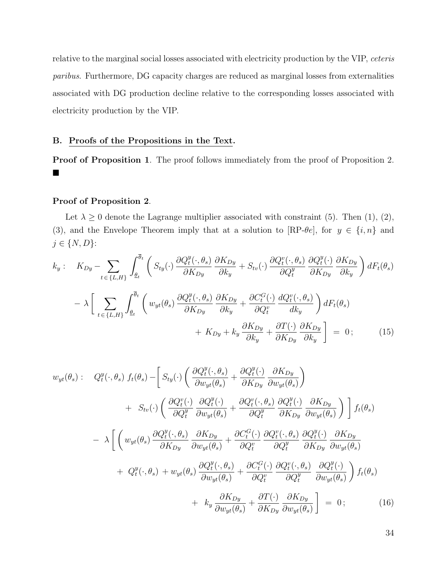relative to the marginal social losses associated with electricity production by the VIP, ceteris paribus. Furthermore, DG capacity charges are reduced as marginal losses from externalities associated with DG production decline relative to the corresponding losses associated with electricity production by the VIP.

#### B. Proofs of the Propositions in the Text.

Proof of Proposition 1. The proof follows immediately from the proof of Proposition 2.  $\blacksquare$ 

#### Proof of Proposition 2.

Let  $\lambda \geq 0$  denote the Lagrange multiplier associated with constraint (5). Then (1), (2), (3), and the Envelope Theorem imply that at a solution to [RP- $\theta e$ ], for  $y \in \{i, n\}$  and  $j \in \{N, D\}$ :

$$
k_{y}: K_{Dy} - \sum_{t \in \{L,H\}} \int_{\underline{\theta}_{t}}^{\overline{\theta}_{t}} \left( S_{ty}(\cdot) \frac{\partial Q_{t}^{y}(\cdot, \theta_{s})}{\partial K_{Dy}} \frac{\partial K_{Dy}}{\partial k_{y}} + S_{tv}(\cdot) \frac{\partial Q_{t}^{v}(\cdot, \theta_{s})}{\partial Q_{t}^{y}} \frac{\partial Q_{t}^{y}(\cdot)}{\partial K_{Dy}} \frac{\partial K_{Dy}}{\partial k_{y}} \right) dF_{t}(\theta_{s})
$$

$$
- \lambda \left[ \sum_{t \in \{L,H\}} \int_{\underline{\theta}_{t}}^{\overline{\theta}_{t}} \left( w_{yt}(\theta_{s}) \frac{\partial Q_{t}^{y}(\cdot, \theta_{s})}{\partial K_{Dy}} \frac{\partial K_{Dy}}{\partial k_{y}} + \frac{\partial C_{t}^{G}(\cdot)}{\partial Q_{t}^{v}} \frac{dQ_{t}^{v}(\cdot, \theta_{s})}{dk_{y}} \right) dF_{t}(\theta_{s}) + K_{Dy} + k_{y} \frac{\partial K_{Dy}}{\partial k_{y}} + \frac{\partial T(\cdot)}{\partial K_{Dy}} \frac{\partial K_{Dy}}{\partial k_{y}} \right] = 0;
$$
(15)

$$
w_{yt}(\theta_s): Q_t^y(\cdot,\theta_s) f_t(\theta_s) - \left[S_{ty}(\cdot) \left(\frac{\partial Q_t^y(\cdot,\theta_s)}{\partial w_{yt}(\theta_s)} + \frac{\partial Q_t^y(\cdot)}{\partial K_{Dy}} \frac{\partial K_{Dy}}{\partial w_{yt}(\theta_s)}\right) \right]
$$
  
+ 
$$
S_{tv}(\cdot) \left(\frac{\partial Q_t^v(\cdot)}{\partial Q_t^y} \frac{\partial Q_t^y(\cdot)}{\partial w_{yt}(\theta_s)} + \frac{\partial Q_t^v(\cdot,\theta_s)}{\partial Q_t^y} \frac{\partial Q_t^y(\cdot)}{\partial K_{Dy}} \frac{\partial K_{Dy}}{\partial w_{yt}(\theta_s)}\right) \right] f_t(\theta_s)
$$
  
- 
$$
\lambda \left[ \left(w_{yt}(\theta_s) \frac{\partial Q_t^y(\cdot,\theta_s)}{\partial K_{Dy}} \frac{\partial K_{Dy}}{\partial w_{yt}(\theta_s)} + \frac{\partial C_t^G(\cdot)}{\partial Q_t^v} \frac{\partial Q_t^v(\cdot,\theta_s)}{\partial Q_t^y} \frac{\partial Q_t^y(\cdot)}{\partial K_{Dy}} \frac{\partial K_{Dy}}{\partial w_{yt}(\theta_s)} \right]
$$
  
+ 
$$
Q_t^y(\cdot,\theta_s) + w_{yt}(\theta_s) \frac{\partial Q_t^y(\cdot,\theta_s)}{\partial w_{yt}(\theta_s)} + \frac{\partial C_t^G(\cdot)}{\partial Q_t^v} \frac{\partial Q_t^v(\cdot,\theta_s)}{\partial Q_t^y} \frac{\partial Q_t^y(\cdot)}{\partial w_{yt}(\theta_s)}\right) f_t(\theta_s)
$$
  
+ 
$$
k_y \frac{\partial K_{Dy}}{\partial w_{yt}(\theta_s)} + \frac{\partial T(\cdot)}{\partial K_{Dy}} \frac{\partial K_{Dy}}{\partial w_{yt}(\theta_s)} \right] = 0;
$$
(16)

34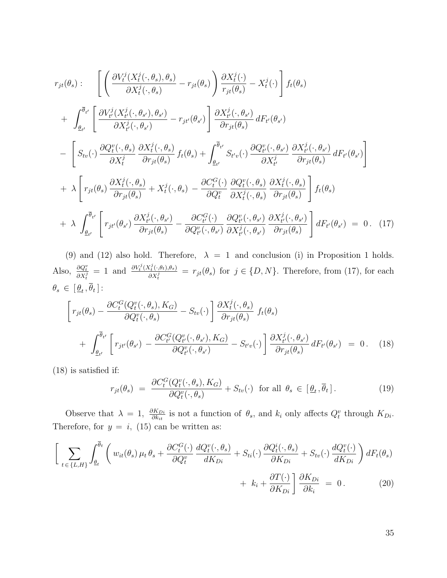$$
r_{jt}(\theta_s): \left[ \left( \frac{\partial V_t^j(X_t^j(\cdot,\theta_s),\theta_s)}{\partial X_t^j(\cdot,\theta_s)} - r_{jt}(\theta_s) \right) \frac{\partial X_t^j(\cdot)}{r_{jt}(\theta_s)} - X_t^j(\cdot) \right] f_t(\theta_s)
$$
  
+ 
$$
\int_{\theta_{t'}}^{\overline{\theta}_{t'}} \left[ \frac{\partial V_t^j(X_t^j(\cdot,\theta_{s'},\theta_{s'})}{\partial X_t^j(\cdot,\theta_{s'})} - r_{jt'}(\theta_{s'}) \right] \frac{\partial X_t^j(\cdot,\theta_{s'})}{\partial r_{jt}(\theta_s)} dF_{t'}(\theta_{s'})
$$
  
- 
$$
\left[ S_{tv}(\cdot) \frac{\partial Q_t^v(\cdot,\theta_s)}{\partial X_t^j} \frac{\partial X_t^j(\cdot,\theta_s)}{\partial r_{jt}(\theta_s)} f_t(\theta_s) + \int_{\underline{\theta}_{t'}}^{\overline{\theta}_{t'}} S_{tv}(\cdot) \frac{\partial Q_t^v(\cdot,\theta_{s'})}{\partial X_{t'}} \frac{\partial X_t^j(\cdot,\theta_{s'})}{\partial r_{jt}(\theta_s)} dF_{t'}(\theta_{s'}) \right]
$$
  
+ 
$$
\lambda \left[ r_{jt}(\theta_s) \frac{\partial X_t^j(\cdot,\theta_s)}{\partial r_{jt}(\theta_s)} + X_t^j(\cdot,\theta_s) - \frac{\partial C_t^G(\cdot)}{\partial Q_t^v} \frac{\partial Q_t^v(\cdot,\theta_s)}{\partial X_t^j(\cdot,\theta_s)} \frac{\partial X_t^j(\cdot,\theta_s)}{\partial r_{jt}(\theta_s)} \right] f_t(\theta_s)
$$
  
+ 
$$
\lambda \int_{\underline{\theta}_{t'}}^{\overline{\theta}_{t'}} \left[ r_{jt'}(\theta_{s'}) \frac{\partial X_t^j(\cdot,\theta_{s'})}{\partial r_{jt}(\theta_s)} - \frac{\partial C_t^G(\cdot)}{\partial Q_t^v(\cdot,\theta_{s'})} \frac{\partial Q_t^v(\cdot,\theta_{s'})}{\partial X_t^j(\cdot,\theta_{s'})} \frac{\partial X_t^j(\cdot,\theta_{s'})}{\partial r_{jt}(\theta_s)} \right] dF_{t'}(\theta_{s'}) = 0. \quad (17)
$$

(9) and (12) also hold. Therefore,  $\lambda = 1$  and conclusion (i) in Proposition 1 holds. Also,  $\frac{\partial Q_t^v}{\partial X_t^j} = 1$  and  $\frac{\partial V_t^j(X_t^j(\cdot,\theta_t),\theta_s)}{\partial X_t^j}$  $\frac{\partial \chi_i^{\tau}(\cdot,\theta_t),\theta_s}{\partial \chi_i^j} = r_{jt}(\theta_s)$  for  $j \in \{D, N\}$ . Therefore, from (17), for each  $\theta_s \in [\underline{\theta}_t, \theta_t]$ :

$$
\left[r_{jt}(\theta_s) - \frac{\partial C_t^G(Q_t^v(\cdot, \theta_s), K_G)}{\partial Q_t^v(\cdot, \theta_s)} - S_{tv}(\cdot)\right] \frac{\partial X_t^j(\cdot, \theta_s)}{\partial r_{jt}(\theta_s)} f_t(\theta_s)
$$
  
+ 
$$
\int_{\underline{\theta_{t'}}}^{\overline{\theta}_{t'}} \left[r_{jt'}(\theta_{s'}) - \frac{\partial C_t^G(Q_t^v(\cdot, \theta_{s'}), K_G)}{\partial Q_{t'}^v(\cdot, \theta_{s'})} - S_{t'v}(\cdot)\right] \frac{\partial X_{t'}^j(\cdot, \theta_{s'})}{\partial r_{jt}(\theta_s)} dF_{t'}(\theta_{s'}) = 0. \quad (18)
$$

(18) is satisfied if:

$$
r_{jt}(\theta_s) = \frac{\partial C_t^G(Q_t^v(\cdot, \theta_s), K_G)}{\partial Q_t^v(\cdot, \theta_s)} + S_{tv}(\cdot) \text{ for all } \theta_s \in [\underline{\theta}_t, \overline{\theta}_t].
$$
 (19)

Observe that  $\lambda = 1$ ,  $\frac{\partial K_{Di}}{\partial k_{it}}$  is not a function of  $\theta_s$ , and  $k_i$  only affects  $Q_t^v$  through  $K_{Di}$ . Therefore, for  $y = i$ , (15) can be written as:

$$
\left[\sum_{t \in \{L,H\}} \int_{\theta_t}^{\overline{\theta}_t} \left( w_{it}(\theta_s) \mu_t \theta_s + \frac{\partial C_t^G(\cdot)}{\partial Q_t^v} \frac{dQ_t^v(\cdot, \theta_s)}{dK_{Di}} + S_{ti}(\cdot) \frac{\partial Q_t^i(\cdot, \theta_s)}{\partial K_{Di}} + S_{tv}(\cdot) \frac{dQ_t^v(\cdot)}{dK_{Di}} \right) dF_t(\theta_s) + k_i + \frac{\partial T(\cdot)}{\partial K_{Di}} \right] \frac{\partial K_{Di}}{\partial k_i} = 0. \tag{20}
$$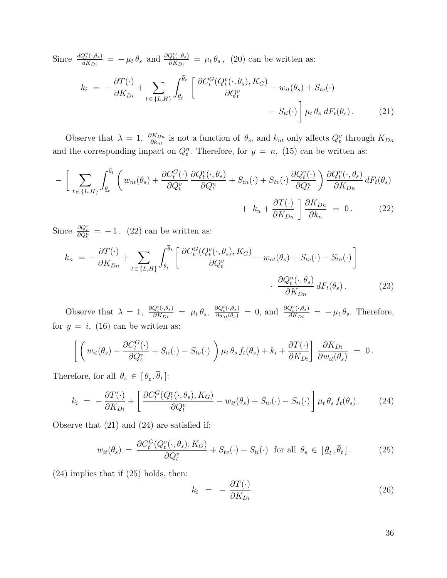Since  $\frac{dQ_t^v(\cdot,\theta_s)}{dK_{\text{max}}}$  $\frac{Q_t^v(\cdot,\theta_s)}{dK_{Di}} = -\mu_t \theta_s$  and  $\frac{\partial Q_t^i(\cdot,\theta_s)}{\partial K_{Di}}$  $\frac{\partial \mathcal{L}_{\ell}(\cdot,\theta_s)}{\partial K_{Di}} = \mu_t \theta_s$ , (20) can be written as:

$$
k_i = -\frac{\partial T(\cdot)}{\partial K_{Di}} + \sum_{t \in \{L, H\}} \int_{\underline{\theta}_t}^{\overline{\theta}_t} \left[ \frac{\partial C_t^G(Q_t^v(\cdot, \theta_s), K_G)}{\partial Q_t^v} - w_{it}(\theta_s) + S_{tv}(\cdot) - S_{ti}(\cdot) \right] \mu_t \theta_s dF_t(\theta_s).
$$
 (21)

Observe that  $\lambda = 1$ ,  $\frac{\partial K_{D_n}}{\partial k_{nt}}$  is not a function of  $\theta_s$ , and  $k_{nt}$  only affects  $Q_t^v$  through  $K_{D_n}$ and the corresponding impact on  $Q_t^n$ . Therefore, for  $y = n$ , (15) can be written as:

$$
- \left[ \sum_{t \in \{L,H\}} \int_{\underline{\theta}_t}^{\overline{\theta}_t} \left( w_{nt}(\theta_s) + \frac{\partial C_t^G(\cdot)}{\partial Q_t^v} \frac{\partial Q_t^v(\cdot, \theta_s)}{\partial Q_t^n} + S_{tn}(\cdot) + S_{tv}(\cdot) \frac{\partial Q_t^v(\cdot)}{\partial Q_t^n} \right) \frac{\partial Q_t^n(\cdot, \theta_s)}{\partial K_{Dn}} dF_t(\theta_s) + k_n + \frac{\partial T(\cdot)}{\partial K_{Dn}} \right] \frac{\partial K_{Dn}}{\partial k_n} = 0. \tag{22}
$$

Since  $\frac{\partial Q_t^v}{\partial Q_t^m}$  = -1, (22) can be written as:

$$
k_n = -\frac{\partial T(\cdot)}{\partial K_{Dn}} + \sum_{t \in \{L, H\}} \int_{\underline{\theta}_t}^{\overline{\theta}_t} \left[ \frac{\partial C_t^G(Q_t^v(\cdot, \theta_s), K_G)}{\partial Q_t^v} - w_{nt}(\theta_s) + S_{tv}(\cdot) - S_{tn}(\cdot) \right] \cdot \frac{\partial Q_t^n(\cdot, \theta_s)}{\partial K_{Dn}} dF_t(\theta_s). \tag{23}
$$

Observe that  $\lambda = 1$ ,  $\frac{\partial Q_t^i(\cdot, \theta_s)}{\partial K_{\infty}}$  $\frac{Q_t^i(\cdot,\theta_s)}{\partial K_{Di}} \;=\; \mu_t \, \theta_s, \; \frac{\partial Q_t^i(\cdot,\theta_s)}{\partial w_{it}(\theta_s)} \;=\; 0, \text{ and } \; \frac{\partial Q_t^v(\cdot,\theta_s)}{\partial K_{Di}}$  $\frac{\partial_t^2(\cdot,\theta_s)}{\partial K_{Di}} = -\mu_t \theta_s$ . Therefore, for  $y = i$ , (16) can be written as:

$$
\left[ \left( w_{it}(\theta_s) - \frac{\partial C_t^G(\cdot)}{\partial Q_t^v} + S_{ti}(\cdot) - S_{tv}(\cdot) \right) \mu_t \, \theta_s \, f_t(\theta_s) + k_i + \frac{\partial T(\cdot)}{\partial K_{Di}} \right] \frac{\partial K_{Di}}{\partial w_{it}(\theta_s)} = 0 \, .
$$

Therefore, for all  $\theta_s \in [\underline{\theta}_t, \theta_t]$ :

$$
k_i = -\frac{\partial T(\cdot)}{\partial K_{Di}} + \left[ \frac{\partial C_t^G(Q_t^v(\cdot, \theta_s), K_G)}{\partial Q_t^v} - w_{it}(\theta_s) + S_{tv}(\cdot) - S_{ti}(\cdot) \right] \mu_t \theta_s f_t(\theta_s). \tag{24}
$$

Observe that (21) and (24) are satisfied if:

$$
w_{it}(\theta_s) = \frac{\partial C_t^G(Q_t^v(\cdot, \theta_s), K_G)}{\partial Q_t^v} + S_{tv}(\cdot) - S_{ti}(\cdot) \text{ for all } \theta_s \in [\underline{\theta}_t, \overline{\theta}_t]. \tag{25}
$$

(24) implies that if (25) holds, then:

$$
k_i = -\frac{\partial T(\cdot)}{\partial K_{Di}}.\tag{26}
$$

36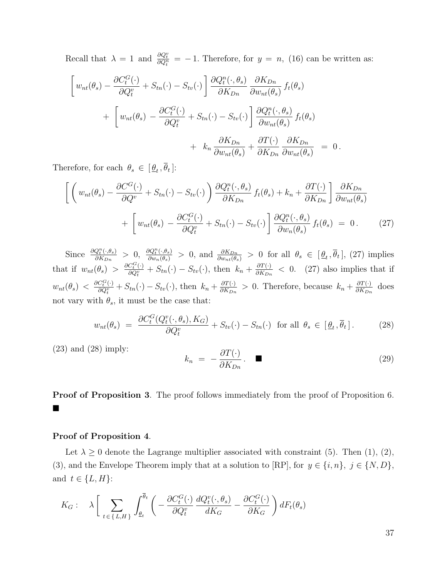Recall that  $\lambda = 1$  and  $\frac{\partial Q_t^v}{\partial Q_t^v} = -1$ . Therefore, for  $y = n$ , (16) can be written as:

$$
\begin{aligned}\n\left[w_{nt}(\theta_s) - \frac{\partial C_t^G(\cdot)}{\partial Q_t^v} + S_{tn}(\cdot) - S_{tv}(\cdot)\right] \frac{\partial Q_t^n(\cdot, \theta_s)}{\partial K_{Dn}} \frac{\partial K_{Dn}}{\partial w_{nt}(\theta_s)} f_t(\theta_s) \\
+ \left[w_{nt}(\theta_s) - \frac{\partial C_t^G(\cdot)}{\partial Q_t^v} + S_{tn}(\cdot) - S_{tv}(\cdot)\right] \frac{\partial Q_t^n(\cdot, \theta_s)}{\partial w_{nt}(\theta_s)} f_t(\theta_s) \\
+ k_n \frac{\partial K_{Dn}}{\partial w_{nt}(\theta_s)} + \frac{\partial T(\cdot)}{\partial K_{Dn}} \frac{\partial K_{Dn}}{\partial w_{nt}(\theta_s)} = 0.\n\end{aligned}
$$

Therefore, for each  $\theta_s \in [\underline{\theta}_t, \overline{\theta}_t]$ :

$$
\left[ \left( w_{nt}(\theta_s) - \frac{\partial C^G(\cdot)}{\partial Q^v} + S_{tn}(\cdot) - S_{tv}(\cdot) \right) \frac{\partial Q_t^n(\cdot, \theta_s)}{\partial K_{Dn}} f_t(\theta_s) + k_n + \frac{\partial T(\cdot)}{\partial K_{Dn}} \right] \frac{\partial K_{Dn}}{\partial w_{nt}(\theta_s)} + \left[ w_{nt}(\theta_s) - \frac{\partial C_t^G(\cdot)}{\partial Q_t^v} + S_{tn}(\cdot) - S_{tv}(\cdot) \right] \frac{\partial Q_t^n(\cdot, \theta_s)}{\partial w_n(\theta_s)} f_t(\theta_s) = 0. \tag{27}
$$

Since  $\frac{\partial Q_t^n(\cdot,\theta_s)}{\partial K_n}$  $\frac{Q_t^n(\cdot,\theta_s)}{\partial K_{D_n}} > 0$ ,  $\frac{\partial Q_t^n(\cdot,\theta_s)}{\partial w_n(\theta_s)} > 0$ , and  $\frac{\partial K_{D_n}}{\partial w_{nt}(\theta_s)} > 0$  for all  $\theta_s \in [\theta_t, \overline{\theta}_t]$ , (27) implies that if  $w_{nt}(\theta_s) > \frac{\partial C_t^G(\cdot)}{\partial O_v^v}$  $\frac{C_t^G(\cdot)}{\partial Q_t^v} + S_{tn}(\cdot) - S_{tv}(\cdot)$ , then  $k_n + \frac{\partial T(\cdot)}{\partial K_{Dr}}$  $\frac{\partial I(\cdot)}{\partial K_{Dn}}$  < 0. (27) also implies that if  $w_{nt}(\theta_s) < \frac{\partial C_t^G(\cdot)}{\partial O_v^v}$  $\frac{C_t^G(\cdot)}{\partial Q_t^v} + S_{tn}(\cdot) - S_{tv}(\cdot)$ , then  $k_n + \frac{\partial T(\cdot)}{\partial K_{D_n}}$  $\frac{\partial T(\cdot)}{\partial K_{D_n}} > 0$ . Therefore, because  $k_n + \frac{\partial T(\cdot)}{\partial K_{D_n}}$  $\frac{\partial I(\cdot)}{\partial K_{Dn}}$  does not vary with  $\theta_s$ , it must be the case that:

$$
w_{nt}(\theta_s) = \frac{\partial C_t^G(Q_t^v(\cdot,\theta_s), K_G)}{\partial Q_t^v} + S_{tv}(\cdot) - S_{tn}(\cdot) \text{ for all } \theta_s \in [\underline{\theta}_t, \overline{\theta}_t]. \tag{28}
$$

(23) and (28) imply:

$$
k_n = -\frac{\partial T(\cdot)}{\partial K_{Dn}}.\tag{29}
$$

Proof of Proposition 3. The proof follows immediately from the proof of Proposition 6.  $\blacksquare$ 

#### Proof of Proposition 4.

Let  $\lambda \geq 0$  denote the Lagrange multiplier associated with constraint (5). Then (1), (2), (3), and the Envelope Theorem imply that at a solution to [RP], for  $y \in \{i, n\}$ ,  $j \in \{N, D\}$ , and  $t \in \{L, H\}$ :

$$
K_G: \quad \lambda \left[ \sum_{t \in \{L, H\}} \int_{\underline{\theta}_t}^{\overline{\theta}_t} \left( -\frac{\partial C_t^G(\cdot)}{\partial Q_t^v} \frac{d Q_t^v(\cdot, \theta_s)}{d K_G} - \frac{\partial C_t^G(\cdot)}{\partial K_G} \right) dF_t(\theta_s) \right]
$$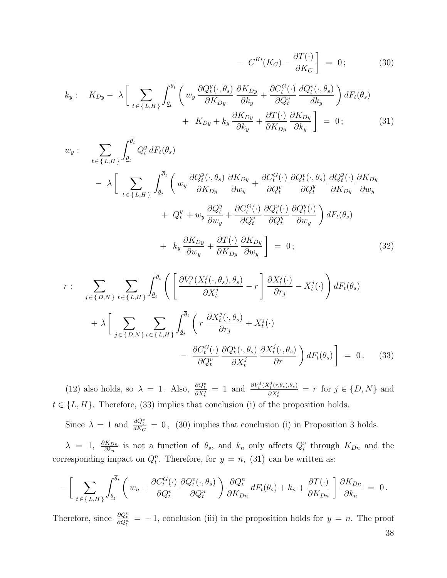$$
- C^{K'}(K_G) - \frac{\partial T(\cdot)}{\partial K_G} = 0; \qquad (30)
$$

$$
k_y: K_{Dy} - \lambda \left[ \sum_{t \in \{L, H\}} \int_{\underline{\theta}_t}^{\overline{\theta}_t} \left( w_y \frac{\partial Q_t^y(\cdot, \theta_s)}{\partial K_{Dy}} \frac{\partial K_{Dy}}{\partial k_y} + \frac{\partial C_t^G(\cdot)}{\partial Q_t^v} \frac{dQ_t^v(\cdot, \theta_s)}{dk_y} \right) dF_t(\theta_s) + K_{Dy} + k_y \frac{\partial K_{Dy}}{\partial k_y} + \frac{\partial T(\cdot)}{\partial K_{Dy}} \frac{\partial K_{Dy}}{\partial k_y} \right] = 0; \tag{31}
$$

$$
w_y: \sum_{t \in \{L,H\}} \int_{\theta_t}^{\theta_t} Q_t^y dF_t(\theta_s)
$$
  

$$
- \lambda \left[ \sum_{t \in \{L,H\}} \int_{\theta_t}^{\overline{\theta}_t} \left( w_y \frac{\partial Q_t^y(\cdot, \theta_s)}{\partial K_{Dy}} \frac{\partial K_{Dy}}{\partial w_y} + \frac{\partial C_t^G(\cdot)}{\partial Q_t^v} \frac{\partial Q_t^v(\cdot, \theta_s)}{\partial Q_t^y} \frac{\partial Q_t^y(\cdot)}{\partial K_{Dy}} \frac{\partial K_{Dy}}{\partial w_y} + Q_t^y + w_y \frac{\partial Q_t^y}{\partial w_y} + \frac{\partial C_t^G(\cdot)}{\partial Q_t^v} \frac{\partial Q_t^v(\cdot)}{\partial Q_t^y} \frac{\partial Q_t^y(\cdot)}{\partial w_y} \right) dF_t(\theta_s)
$$
  

$$
+ k_y \frac{\partial K_{Dy}}{\partial w_y} + \frac{\partial T(\cdot)}{\partial K_{Dy}} \frac{\partial K_{Dy}}{\partial w_y} \right] = 0;
$$
 (32)

$$
r: \sum_{j \in \{D,N\}} \sum_{t \in \{L,H\}} \int_{\theta_t}^{\overline{\theta}_t} \left( \left[ \frac{\partial V_t^j(X_t^j(\cdot,\theta_s),\theta_s)}{\partial X_t^j} - r \right] \frac{\partial X_t^j(\cdot)}{\partial r_j} - X_t^j(\cdot) \right) dF_t(\theta_s)
$$

$$
+ \lambda \left[ \sum_{j \in \{D,N\}} \sum_{t \in \{L,H\}} \int_{\theta_t}^{\overline{\theta}_t} \left( r \frac{\partial X_t^j(\cdot,\theta_s)}{\partial r_j} + X_t^j(\cdot) - \frac{\partial C_t^C(\cdot)}{\partial Q_t^v} \frac{\partial Q_t^v(\cdot,\theta_s)}{\partial X_t^j} \frac{\partial X_t^j(\cdot,\theta_s)}{\partial r} \right) dF_t(\theta_s) \right] = 0. \tag{33}
$$

(12) also holds, so  $\lambda = 1$ . Also,  $\frac{\partial Q_t^v}{\partial X_t^j} = 1$  and  $\frac{\partial V_t^j(X_t^j(r, \theta_s), \theta_s)}{\partial X_t^j}$  $\frac{\partial \{x_i^i(r,\theta_s),\theta_s\}}{\partial X_i^j} = r$  for  $j \in \{D, N\}$  and  $t \in \{L, H\}$ . Therefore, (33) implies that conclusion (i) of the proposition holds.

Since  $\lambda = 1$  and  $\frac{dQ_v^v}{dK_G} = 0$ , (30) implies that conclusion (i) in Proposition 3 holds.  $\lambda = 1$ ,  $\frac{\partial K_{Dn}}{\partial k_n}$  is not a function of  $\theta_s$ , and  $k_n$  only affects  $Q_t^v$  through  $K_{Dn}$  and the corresponding impact on  $Q_t^n$ . Therefore, for  $y = n$ , (31) can be written as:

$$
- \left[ \sum_{t \in \{L,H\}} \int_{\underline{\theta}_t}^{\overline{\theta}_t} \left( w_n + \frac{\partial C_t^G(\cdot)}{\partial Q_t^v} \frac{\partial Q_t^v(\cdot, \theta_s)}{\partial Q_t^n} \right) \frac{\partial Q_t^n}{\partial K_{Dn}} dF_t(\theta_s) + k_n + \frac{\partial T(\cdot)}{\partial K_{Dn}} \right] \frac{\partial K_{Dn}}{\partial k_n} = 0.
$$

Therefore, since  $\frac{\partial Q_t^v}{\partial Q_t^n}$  = -1, conclusion (iii) in the proposition holds for  $y = n$ . The proof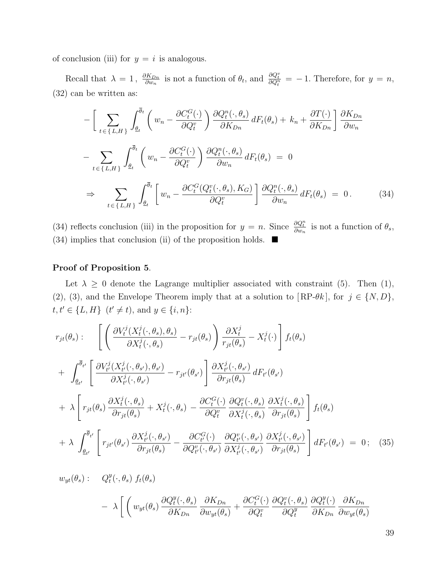of conclusion (iii) for  $y = i$  is analogous.

Recall that  $\lambda = 1$ ,  $\frac{\partial K_{D_n}}{\partial w_n}$  is not a function of  $\theta_t$ , and  $\frac{\partial Q_t^v}{\partial Q_t^n} = -1$ . Therefore, for  $y = n$ , (32) can be written as:

$$
-\left[\sum_{t\in\{L,H\}}\int_{\theta_t}^{\overline{\theta}_t} \left(w_n - \frac{\partial C_t^G(\cdot)}{\partial Q_t^v}\right) \frac{\partial Q_t^n(\cdot,\theta_s)}{\partial K_{Dn}} dF_t(\theta_s) + k_n + \frac{\partial T(\cdot)}{\partial K_{Dn}}\right] \frac{\partial K_{Dn}}{\partial w_n}
$$

$$
-\sum_{t\in\{L,H\}}\int_{\theta_t}^{\overline{\theta}_t} \left(w_n - \frac{\partial C_t^G(\cdot)}{\partial Q_t^v}\right) \frac{\partial Q_t^n(\cdot,\theta_s)}{\partial w_n} dF_t(\theta_s) = 0
$$

$$
\Rightarrow \sum_{t\in\{L,H\}}\int_{\theta_t}^{\overline{\theta}_t} \left[w_n - \frac{\partial C_t^G(Q_t^v(\cdot,\theta_s), K_G)}{\partial Q_t^v}\right] \frac{\partial Q_t^n(\cdot,\theta_s)}{\partial w_n} dF_t(\theta_s) = 0. \tag{34}
$$

(34) reflects conclusion (iii) in the proposition for  $y = n$ . Since  $\frac{\partial Q_t^n}{\partial w_n}$  is not a function of  $\theta_s$ , (34) implies that conclusion (ii) of the proposition holds.  $\blacksquare$ 

#### Proof of Proposition 5.

Let  $\lambda \geq 0$  denote the Lagrange multiplier associated with constraint (5). Then (1), (2), (3), and the Envelope Theorem imply that at a solution to [RP- $\theta k$ ], for  $j \in \{N, D\}$ ,  $t, t' \in \{L, H\} \ (t' \neq t), \text{ and } y \in \{i, n\}:$ 

$$
r_{jt}(\theta_s): \left[ \left( \frac{\partial V_t^j(X_t^j(\cdot,\theta_s),\theta_s)}{\partial X_t^j(\cdot,\theta_s)} - r_{jt}(\theta_s) \right) \frac{\partial X_t^j}{r_{jt}(\theta_s)} - X_t^j(\cdot) \right] f_t(\theta_s)
$$
  
+ 
$$
\int_{\underline{\theta}_{t'}}^{\overline{\theta}_{t'}} \left[ \frac{\partial V_t^j(X_{t'}^j(\cdot,\theta_{s'},\theta_{s'})}{\partial X_{t'}^j(\cdot,\theta_{s'})} - r_{jt'}(\theta_{s'}) \right] \frac{\partial X_{t'}^j(\cdot,\theta_{s'})}{\partial r_{jt}(\theta_s)} dF_{t'}(\theta_{s'})
$$
  
+ 
$$
\lambda \left[ r_{jt}(\theta_s) \frac{\partial X_t^j(\cdot,\theta_s)}{\partial r_{jt}(\theta_s)} + X_t^j(\cdot,\theta_s) - \frac{\partial C_t^G(\cdot)}{\partial Q_t^v} \frac{\partial Q_t^v(\cdot,\theta_s)}{\partial X_t^j(\cdot,\theta_s)} \frac{\partial X_t^j(\cdot,\theta_s)}{\partial r_{jt}(\theta_s)} \right] f_t(\theta_s)
$$
  
+ 
$$
\lambda \int_{\underline{\theta}_{t'}}^{\overline{\theta}_{t'}} \left[ r_{jt'}(\theta_{s'}) \frac{\partial X_{t'}^j(\cdot,\theta_{s'})}{\partial r_{jt}(\theta_s)} - \frac{\partial C_t^G(\cdot)}{\partial Q_{t'}^v(\cdot,\theta_{s'})} \frac{\partial Q_{t'}^v(\cdot,\theta_{s'})}{\partial X_{t'}^j(\cdot,\theta_{s'})} \frac{\partial X_{t'}^j(\cdot,\theta_{s'})}{\partial r_{jt}(\theta_s)} \right] dF_{t'}(\theta_{s'}) = 0; \quad (35)
$$

$$
w_{yt}(\theta_s): \quad Q_t^y(\cdot,\theta_s) f_t(\theta_s)
$$
  
-  $\lambda \left[ \left( w_{yt}(\theta_s) \frac{\partial Q_t^y(\cdot,\theta_s)}{\partial K_{Dn}} \frac{\partial K_{Dn}}{\partial w_{yt}(\theta_s)} + \frac{\partial C_t^G(\cdot)}{\partial Q_t^v} \frac{\partial Q_t^v(\cdot,\theta_s)}{\partial Q_t^y} \frac{\partial Q_t^y(\cdot)}{\partial K_{Dn}} \frac{\partial K_{Dn}}{\partial w_{yt}(\theta_s)} \right] \right]$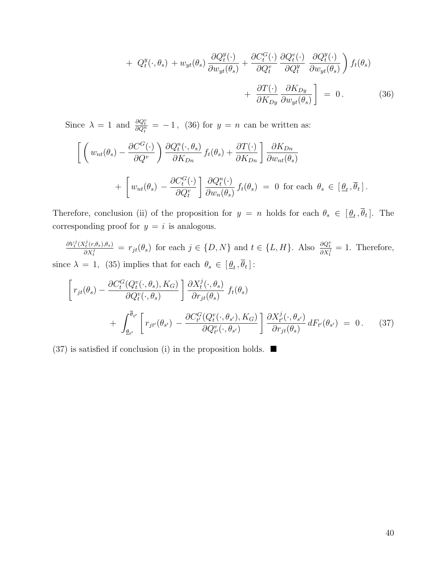+ 
$$
Q_t^y(\cdot, \theta_s)
$$
 +  $w_{yt}(\theta_s) \frac{\partial Q_t^y(\cdot)}{\partial w_{yt}(\theta_s)} + \frac{\partial C_t^G(\cdot)}{\partial Q_t^v} \frac{\partial Q_t^v(\cdot)}{\partial Q_t^y} \frac{\partial Q_t^y(\cdot)}{\partial w_{yt}(\theta_s)} \bigg) f_t(\theta_s)$   
+  $\frac{\partial T(\cdot)}{\partial K_{Dy}} \frac{\partial K_{Dy}}{\partial w_{yt}(\theta_s)} \bigg] = 0.$  (36)

Since  $\lambda = 1$  and  $\frac{\partial Q_t^v}{\partial Q_t^n} = -1$ , (36) for  $y = n$  can be written as:

$$
\left[ \left( w_{nt}(\theta_s) - \frac{\partial C^G(\cdot)}{\partial Q^v} \right) \frac{\partial Q_t^n(\cdot, \theta_s)}{\partial K_{Dn}} f_t(\theta_s) + \frac{\partial T(\cdot)}{\partial K_{Dn}} \right] \frac{\partial K_{Dn}}{\partial w_{nt}(\theta_s)} + \left[ w_{nt}(\theta_s) - \frac{\partial C_t^G(\cdot)}{\partial Q_t^v} \right] \frac{\partial Q_t^n(\cdot)}{\partial w_n(\theta_s)} f_t(\theta_s) = 0 \text{ for each } \theta_s \in [\underline{\theta}_t, \overline{\theta}_t].
$$

Therefore, conclusion (ii) of the proposition for  $y = n$  holds for each  $\theta_s \in [\theta_t, \theta_t]$ . The corresponding proof for  $y = i$  is analogous.

 $\partial V_t^j(X_t^j(r,\theta_s),\theta_s)$  $\frac{\partial \sigma_t^j(r,\theta_s),\theta_s}{\partial X_t^j} = r_{jt}(\theta_s)$  for each  $j \in \{D, N\}$  and  $t \in \{L, H\}$ . Also  $\frac{\partial Q_t^v}{\partial X_t^j} = 1$ . Therefore, since  $\lambda = 1$ , (35) implies that for each  $\theta_s \in [\underline{\theta}_t, \theta_t]$ :

$$
\left[r_{jt}(\theta_s) - \frac{\partial C_t^G(Q_t^v(\cdot,\theta_s), K_G)}{\partial Q_t^v(\cdot,\theta_s)}\right] \frac{\partial X_t^j(\cdot,\theta_s)}{\partial r_{jt}(\theta_s)} f_t(\theta_s)
$$
  
+ 
$$
\int_{\theta_{t'}}^{\overline{\theta}_{t'}} \left[r_{jt'}(\theta_{s'}) - \frac{\partial C_t^G(Q_t^v(\cdot,\theta_{s'}), K_G)}{\partial Q_{t'}^v(\cdot,\theta_{s'})}\right] \frac{\partial X_{t'}^j(\cdot,\theta_{s'})}{\partial r_{jt}(\theta_s)} dF_{t'}(\theta_{s'}) = 0.
$$
 (37)

 $(37)$  is satisfied if conclusion (i) in the proposition holds.  $\blacksquare$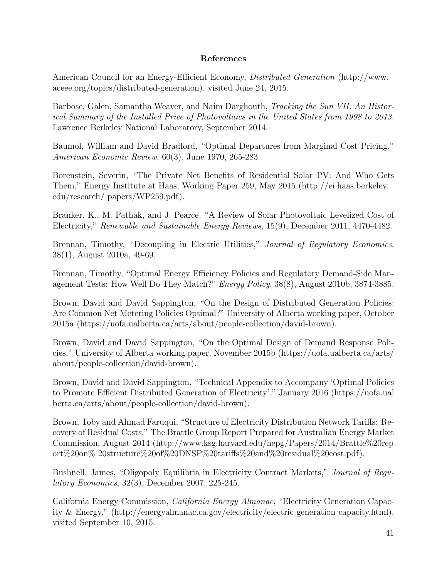# References

American Council for an Energy-Efficient Economy, Distributed Generation (http://www. aceee.org/topics/distributed-generation), visited June 24, 2015.

Barbose, Galen, Samantha Weaver, and Naim Darghouth, Tracking the Sun VII: An Historical Summary of the Installed Price of Photovoltaics in the United States from 1998 to 2013. Lawrence Berkeley National Laboratory, September 2014.

Baumol, William and David Bradford, "Optimal Departures from Marginal Cost Pricing," American Economic Review, 60(3), June 1970, 265-283.

Borenstein, Severin, "The Private Net Benefits of Residential Solar PV: And Who Gets Them," Energy Institute at Haas, Working Paper 259, May 2015 (http://ei.haas.berkeley. edu/research/ papers/WP259.pdf).

Branker, K., M. Pathak, and J. Pearce, "A Review of Solar Photovoltaic Levelized Cost of Electricity," Renewable and Sustainable Energy Reviews, 15(9), December 2011, 4470-4482.

Brennan, Timothy, "Decoupling in Electric Utilities," Journal of Regulatory Economics, 38(1), August 2010a, 49-69.

Brennan, Timothy, "Optimal Energy Efficiency Policies and Regulatory Demand-Side Management Tests: How Well Do They Match?" Energy Policy, 38(8), August 2010b, 3874-3885.

Brown, David and David Sappington, "On the Design of Distributed Generation Policies: Are Common Net Metering Policies Optimal?" University of Alberta working paper, October 2015a (https://uofa.ualberta.ca/arts/about/people-collection/david-brown).

Brown, David and David Sappington, "On the Optimal Design of Demand Response Policies," University of Alberta working paper, November 2015b (https://uofa.ualberta.ca/arts/ about/people-collection/david-brown).

Brown, David and David Sappington, "Technical Appendix to Accompany 'Optimal Policies to Promote Efficient Distributed Generation of Electricity'," January 2016 (https://uofa.ual berta.ca/arts/about/people-collection/david-brown).

Brown, Toby and Ahmad Faruqui, "Structure of Electricity Distribution Network Tariffs: Recovery of Residual Costs," The Brattle Group Report Prepared for Australian Energy Market Commission, August 2014 (http://www.ksg.harvard.edu/hepg/Papers/2014/Brattle%20rep ort%20on% 20structure%20of%20DNSP%20tariffs%20and%20residual%20cost.pdf).

Bushnell, James, "Oligopoly Equilibria in Electricity Contract Markets," Journal of Regulatory Economics, 32(3), December 2007, 225-245.

California Energy Commission, California Energy Almanac, "Electricity Generation Capacity & Energy," (http://energyalmanac.ca.gov/electricity/electric generation capacity.html), visited September 10, 2015.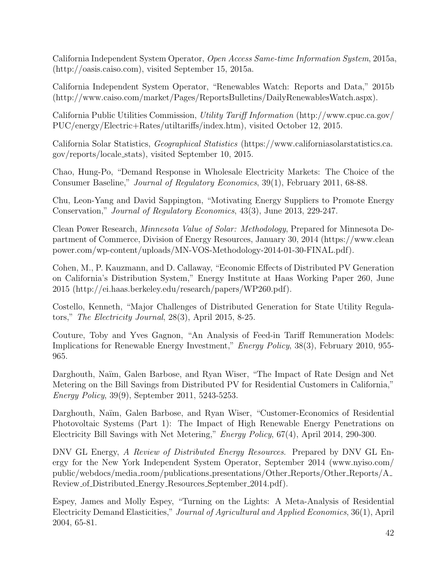California Independent System Operator, Open Access Same-time Information System, 2015a, (http://oasis.caiso.com), visited September 15, 2015a.

California Independent System Operator, "Renewables Watch: Reports and Data," 2015b (http://www.caiso.com/market/Pages/ReportsBulletins/DailyRenewablesWatch.aspx).

California Public Utilities Commission, Utility Tariff Information (http://www.cpuc.ca.gov/ PUC/energy/Electric+Rates/utiltariffs/index.htm), visited October 12, 2015.

California Solar Statistics, Geographical Statistics (https://www.californiasolarstatistics.ca. gov/reports/locale stats), visited September 10, 2015.

Chao, Hung-Po, "Demand Response in Wholesale Electricity Markets: The Choice of the Consumer Baseline," Journal of Regulatory Economics, 39(1), February 2011, 68-88.

Chu, Leon-Yang and David Sappington, "Motivating Energy Suppliers to Promote Energy Conservation," Journal of Regulatory Economics, 43(3), June 2013, 229-247.

Clean Power Research, Minnesota Value of Solar: Methodology, Prepared for Minnesota Department of Commerce, Division of Energy Resources, January 30, 2014 (https://www.clean power.com/wp-content/uploads/MN-VOS-Methodology-2014-01-30-FINAL.pdf).

Cohen, M., P. Kauzmann, and D. Callaway, "Economic Effects of Distributed PV Generation on California's Distribution System," Energy Institute at Haas Working Paper 260, June 2015 (http://ei.haas.berkeley.edu/research/papers/WP260.pdf).

Costello, Kenneth, "Major Challenges of Distributed Generation for State Utility Regulators," The Electricity Journal, 28(3), April 2015, 8-25.

Couture, Toby and Yves Gagnon, "An Analysis of Feed-in Tariff Remuneration Models: Implications for Renewable Energy Investment," Energy Policy, 38(3), February 2010, 955- 965.

Darghouth, Naïm, Galen Barbose, and Ryan Wiser, "The Impact of Rate Design and Net Metering on the Bill Savings from Distributed PV for Residential Customers in California," Energy Policy, 39(9), September 2011, 5243-5253.

Darghouth, Naïm, Galen Barbose, and Ryan Wiser, "Customer-Economics of Residential Photovoltaic Systems (Part 1): The Impact of High Renewable Energy Penetrations on Electricity Bill Savings with Net Metering," Energy Policy, 67(4), April 2014, 290-300.

DNV GL Energy, A Review of Distributed Energy Resources. Prepared by DNV GL Energy for the New York Independent System Operator, September 2014 (www.nyiso.com/ public/webdocs/media room/publications presentations/Other Reports/Other Reports/A Review of Distributed Energy Resources September 2014.pdf).

Espey, James and Molly Espey, "Turning on the Lights: A Meta-Analysis of Residential Electricity Demand Elasticities," Journal of Agricultural and Applied Economics, 36(1), April 2004, 65-81.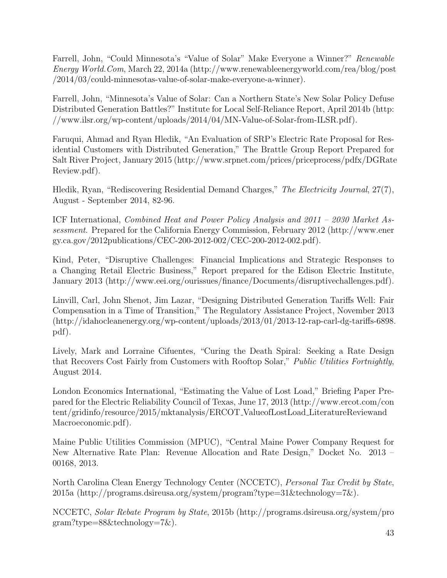Farrell, John, "Could Minnesota's "Value of Solar" Make Everyone a Winner?" Renewable Energy World.Com, March 22, 2014a (http://www.renewableenergyworld.com/rea/blog/post /2014/03/could-minnesotas-value-of-solar-make-everyone-a-winner).

Farrell, John, "Minnesota's Value of Solar: Can a Northern State's New Solar Policy Defuse Distributed Generation Battles?" Institute for Local Self-Reliance Report, April 2014b (http: //www.ilsr.org/wp-content/uploads/2014/04/MN-Value-of-Solar-from-ILSR.pdf).

Faruqui, Ahmad and Ryan Hledik, "An Evaluation of SRP's Electric Rate Proposal for Residential Customers with Distributed Generation," The Brattle Group Report Prepared for Salt River Project, January 2015 (http://www.srpnet.com/prices/priceprocess/pdfx/DGRate Review.pdf).

Hledik, Ryan, "Rediscovering Residential Demand Charges," The Electricity Journal, 27(7), August - September 2014, 82-96.

ICF International, Combined Heat and Power Policy Analysis and 2011 – 2030 Market Assessment. Prepared for the California Energy Commission, February 2012 (http://www.ener gy.ca.gov/2012publications/CEC-200-2012-002/CEC-200-2012-002.pdf).

Kind, Peter, "Disruptive Challenges: Financial Implications and Strategic Responses to a Changing Retail Electric Business," Report prepared for the Edison Electric Institute, January 2013 (http://www.eei.org/ourissues/finance/Documents/disruptivechallenges.pdf).

Linvill, Carl, John Shenot, Jim Lazar, "Designing Distributed Generation Tariffs Well: Fair Compensation in a Time of Transition," The Regulatory Assistance Project, November 2013 (http://idahocleanenergy.org/wp-content/uploads/2013/01/2013-12-rap-carl-dg-tariffs-6898. pdf).

Lively, Mark and Lorraine Cifuentes, "Curing the Death Spiral: Seeking a Rate Design that Recovers Cost Fairly from Customers with Rooftop Solar," Public Utilities Fortnightly, August 2014.

London Economics International, "Estimating the Value of Lost Load," Briefing Paper Prepared for the Electric Reliability Council of Texas, June 17, 2013 (http://www.ercot.com/con tent/gridinfo/resource/2015/mktanalysis/ERCOT ValueofLostLoad LiteratureReviewand Macroeconomic.pdf).

Maine Public Utilities Commission (MPUC), "Central Maine Power Company Request for New Alternative Rate Plan: Revenue Allocation and Rate Design," Docket No. 2013 – 00168, 2013.

North Carolina Clean Energy Technology Center (NCCETC), Personal Tax Credit by State, 2015a (http://programs.dsireusa.org/system/program?type=31&technology=7&).

NCCETC, Solar Rebate Program by State, 2015b (http://programs.dsireusa.org/system/pro  $gram?type=88\&technology=7\&$ ).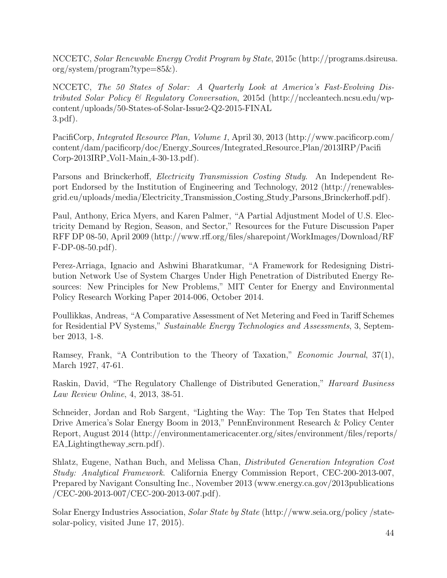NCCETC, Solar Renewable Energy Credit Program by State, 2015c (http://programs.dsireusa. org/system/program?type=85&).

NCCETC, The 50 States of Solar: A Quarterly Look at America's Fast-Evolving Distributed Solar Policy & Regulatory Conversation, 2015d (http://nccleantech.ncsu.edu/wpcontent/uploads/50-States-of-Solar-Issue2-Q2-2015-FINAL 3.pdf).

PacifiCorp, Integrated Resource Plan, Volume 1, April 30, 2013 (http://www.pacificorp.com/ content/dam/pacificorp/doc/Energy Sources/Integrated Resource Plan/2013IRP/Pacifi Corp-2013IRP Vol1-Main 4-30-13.pdf).

Parsons and Brinckerhoff, Electricity Transmission Costing Study. An Independent Report Endorsed by the Institution of Engineering and Technology, 2012 (http://renewablesgrid.eu/uploads/media/Electricity Transmission Costing Study Parsons Brinckerhoff.pdf).

Paul, Anthony, Erica Myers, and Karen Palmer, "A Partial Adjustment Model of U.S. Electricity Demand by Region, Season, and Sector," Resources for the Future Discussion Paper RFF DP 08-50, April 2009 (http://www.rff.org/files/sharepoint/WorkImages/Download/RF F-DP-08-50.pdf).

Perez-Arriaga, Ignacio and Ashwini Bharatkumar, "A Framework for Redesigning Distribution Network Use of System Charges Under High Penetration of Distributed Energy Resources: New Principles for New Problems," MIT Center for Energy and Environmental Policy Research Working Paper 2014-006, October 2014.

Poullikkas, Andreas, "A Comparative Assessment of Net Metering and Feed in Tariff Schemes for Residential PV Systems," Sustainable Energy Technologies and Assessments, 3, September 2013, 1-8.

Ramsey, Frank, "A Contribution to the Theory of Taxation," Economic Journal, 37(1), March 1927, 47-61.

Raskin, David, "The Regulatory Challenge of Distributed Generation," Harvard Business Law Review Online, 4, 2013, 38-51.

Schneider, Jordan and Rob Sargent, "Lighting the Way: The Top Ten States that Helped Drive America's Solar Energy Boom in 2013," PennEnvironment Research & Policy Center Report, August 2014 (http://environmentamericacenter.org/sites/environment/files/reports/ EA Lightingtheway scrn.pdf).

Shlatz, Eugene, Nathan Buch, and Melissa Chan, Distributed Generation Integration Cost Study: Analytical Framework. California Energy Commission Report, CEC-200-2013-007, Prepared by Navigant Consulting Inc., November 2013 (www.energy.ca.gov/2013publications /CEC-200-2013-007/CEC-200-2013-007.pdf).

Solar Energy Industries Association, Solar State by State (http://www.seia.org/policy /statesolar-policy, visited June 17, 2015).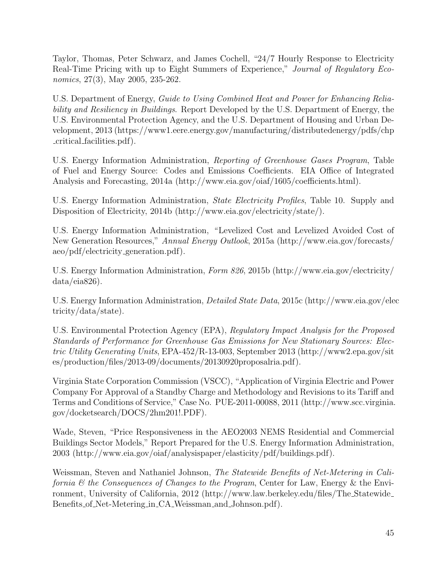Taylor, Thomas, Peter Schwarz, and James Cochell, "24/7 Hourly Response to Electricity Real-Time Pricing with up to Eight Summers of Experience," Journal of Regulatory Economics, 27(3), May 2005, 235-262.

U.S. Department of Energy, Guide to Using Combined Heat and Power for Enhancing Reliability and Resiliency in Buildings. Report Developed by the U.S. Department of Energy, the U.S. Environmental Protection Agency, and the U.S. Department of Housing and Urban Development, 2013 (https://www1.eere.energy.gov/manufacturing/distributedenergy/pdfs/chp critical facilities.pdf).

U.S. Energy Information Administration, Reporting of Greenhouse Gases Program, Table of Fuel and Energy Source: Codes and Emissions Coefficients. EIA Office of Integrated Analysis and Forecasting, 2014a (http://www.eia.gov/oiaf/1605/coefficients.html).

U.S. Energy Information Administration, *State Electricity Profiles*, Table 10. Supply and Disposition of Electricity, 2014b (http://www.eia.gov/electricity/state/).

U.S. Energy Information Administration, " Levelized Cost and Levelized Avoided Cost of New Generation Resources," Annual Energy Outlook, 2015a (http://www.eia.gov/forecasts/ aeo/pdf/electricity generation.pdf).

U.S. Energy Information Administration, Form 826, 2015b (http://www.eia.gov/electricity/ data/eia826).

U.S. Energy Information Administration, Detailed State Data, 2015c (http://www.eia.gov/elec tricity/data/state).

U.S. Environmental Protection Agency (EPA), Regulatory Impact Analysis for the Proposed Standards of Performance for Greenhouse Gas Emissions for New Stationary Sources: Electric Utility Generating Units, EPA-452/R-13-003, September 2013 (http://www2.epa.gov/sit es/production/files/2013-09/documents/20130920proposalria.pdf).

Virginia State Corporation Commission (VSCC), "Application of Virginia Electric and Power Company For Approval of a Standby Charge and Methodology and Revisions to its Tariff and Terms and Conditions of Service," Case No. PUE-2011-00088, 2011 (http://www.scc.virginia. gov/docketsearch/DOCS/2hm201!.PDF).

Wade, Steven, "Price Responsiveness in the AEO2003 NEMS Residential and Commercial Buildings Sector Models," Report Prepared for the U.S. Energy Information Administration, 2003 (http://www.eia.gov/oiaf/analysispaper/elasticity/pdf/buildings.pdf).

Weissman, Steven and Nathaniel Johnson, The Statewide Benefits of Net-Metering in California  $\mathcal B$  the Consequences of Changes to the Program, Center for Law, Energy  $\&$  the Environment, University of California, 2012 (http://www.law.berkeley.edu/files/The Statewide Benefits of Net-Metering in CA Weissman and Johnson.pdf).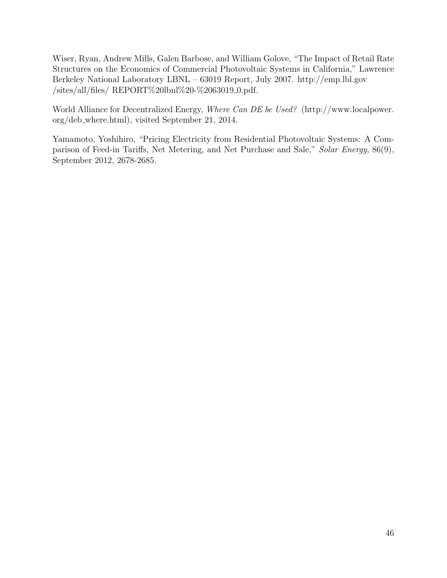Wiser, Ryan, Andrew Mills, Galen Barbose, and William Golove, "The Impact of Retail Rate Structures on the Economics of Commercial Photovoltaic Systems in California," Lawrence Berkeley National Laboratory LBNL – 63019 Report, July 2007. http://emp.lbl.gov /sites/all/files/ REPORT%20lbnl%20-%2063019 0.pdf.

World Alliance for Decentralized Energy, Where Can DE be Used? (http://www.localpower. org/deb where.html), visited September 21, 2014.

Yamamoto, Yoshihiro, "Pricing Electricity from Residential Photovoltaic Systems: A Comparison of Feed-in Tariffs, Net Metering, and Net Purchase and Sale," Solar Energy, 86(9), September 2012, 2678-2685.